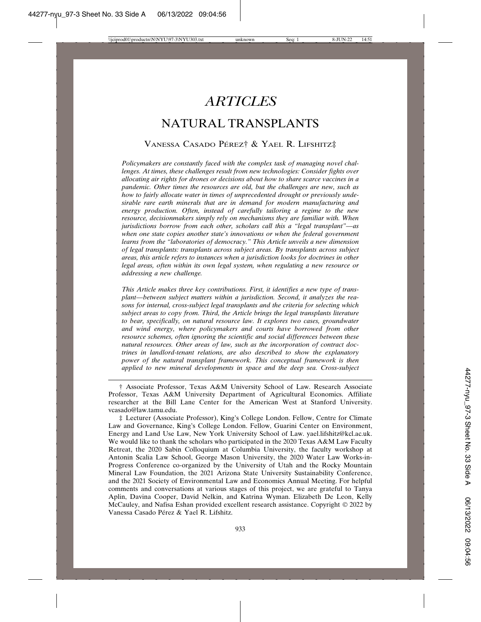# *ARTICLES*

# NATURAL TRANSPLANTS

#### VANESSA CASADO PÉREZ† & YAEL R. LIFSHITZ‡

*Policymakers are constantly faced with the complex task of managing novel challenges. At times, these challenges result from new technologies: Consider fights over allocating air rights for drones or decisions about how to share scarce vaccines in a pandemic. Other times the resources are old, but the challenges are new, such as how to fairly allocate water in times of unprecedented drought or previously undesirable rare earth minerals that are in demand for modern manufacturing and energy production. Often, instead of carefully tailoring a regime to the new resource, decisionmakers simply rely on mechanisms they are familiar with. When jurisdictions borrow from each other, scholars call this a "legal transplant"—as when one state copies another state's innovations or when the federal government learns from the "laboratories of democracy." This Article unveils a new dimension of legal transplants: transplants across subject areas. By transplants across subject areas, this article refers to instances when a jurisdiction looks for doctrines in other legal areas, often within its own legal system, when regulating a new resource or addressing a new challenge.*

*This Article makes three key contributions. First, it identifies a new type of transplant—between subject matters within a jurisdiction. Second, it analyzes the reasons for internal, cross-subject legal transplants and the criteria for selecting which subject areas to copy from. Third, the Article brings the legal transplants literature to bear, specifically, on natural resource law. It explores two cases, groundwater and wind energy, where policymakers and courts have borrowed from other resource schemes, often ignoring the scientific and social differences between these natural resources. Other areas of law, such as the incorporation of contract doctrines in landlord-tenant relations, are also described to show the explanatory power of the natural transplant framework. This conceptual framework is then applied to new mineral developments in space and the deep sea. Cross-subject*

† Associate Professor, Texas A&M University School of Law. Research Associate Professor, Texas A&M University Department of Agricultural Economics. Affiliate researcher at the Bill Lane Center for the American West at Stanford University. vcasado@law.tamu.edu.

‡ Lecturer (Associate Professor), King's College London. Fellow, Centre for Climate Law and Governance, King's College London. Fellow, Guarini Center on Environment, Energy and Land Use Law, New York University School of Law. yael.lifshitz@kcl.ac.uk. We would like to thank the scholars who participated in the 2020 Texas A&M Law Faculty Retreat, the 2020 Sabin Colloquium at Columbia University, the faculty workshop at Antonin Scalia Law School, George Mason University, the 2020 Water Law Works-in-Progress Conference co-organized by the University of Utah and the Rocky Mountain Mineral Law Foundation, the 2021 Arizona State University Sustainability Conference, and the 2021 Society of Environmental Law and Economics Annual Meeting. For helpful comments and conversations at various stages of this project, we are grateful to Tanya Aplin, Davina Cooper, David Nelkin, and Katrina Wyman. Elizabeth De Leon, Kelly McCauley, and Nafisa Eshan provided excellent research assistance. Copyright  $@ 2022$  by Vanessa Casado Pérez & Yael R. Lifshitz.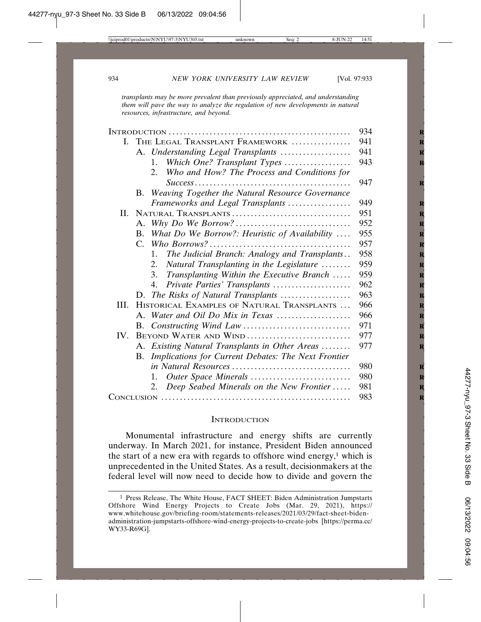*transplants may be more prevalent than previously appreciated, and understanding them will pave the way to analyze the regulation of new developments in natural resources, infrastructure, and beyond.*

|      |                       |                                                     | 934 |
|------|-----------------------|-----------------------------------------------------|-----|
| L.   |                       | THE LEGAL TRANSPLANT FRAMEWORK                      | 941 |
|      |                       | A. Understanding Legal Transplants                  | 941 |
|      |                       | Which One? Transplant Types<br>$1_{-}$              | 943 |
|      |                       | Who and How? The Process and Conditions for<br>2.   |     |
|      |                       |                                                     | 947 |
|      |                       | B. Weaving Together the Natural Resource Governance |     |
|      |                       | Frameworks and Legal Transplants                    | 949 |
| H.   |                       | NATURAL TRANSPLANTS                                 | 951 |
|      |                       |                                                     | 952 |
|      | $\bf{B}$              | What Do We Borrow?: Heuristic of Availability       | 955 |
|      |                       |                                                     | 957 |
|      |                       | The Judicial Branch: Analogy and Transplants<br>1.  | 958 |
|      |                       | Natural Transplanting in the Legislature<br>2.      | 959 |
|      |                       | Transplanting Within the Executive Branch<br>3.     | 959 |
|      |                       | Private Parties' Transplants<br>4.                  | 962 |
|      |                       | D. The Risks of Natural Transplants                 | 963 |
| III. |                       | HISTORICAL EXAMPLES OF NATURAL TRANSPLANTS          | 966 |
|      |                       | A. Water and Oil Do Mix in Texas                    | 966 |
|      |                       |                                                     | 971 |
| IV.  | BEYOND WATER AND WIND |                                                     | 977 |
|      |                       | A. Existing Natural Transplants in Other Areas      | 977 |
|      | В.                    | Implications for Current Debates: The Next Frontier |     |
|      |                       |                                                     | 980 |
|      |                       | Outer Space Minerals<br>1.                          | 980 |
|      |                       | Deep Seabed Minerals on the New Frontier<br>2.      | 981 |
|      |                       |                                                     | 983 |

#### **INTRODUCTION**

Monumental infrastructure and energy shifts are currently underway. In March 2021, for instance, President Biden announced the start of a new era with regards to offshore wind energy, $1$  which is unprecedented in the United States. As a result, decisionmakers at the federal level will now need to decide how to divide and govern the

<sup>1</sup> Press Release, The White House, FACT SHEET: Biden Administration Jumpstarts Offshore Wind Energy Projects to Create Jobs (Mar. 29, 2021), https:// www.whitehouse.gov/briefing-room/statements-releases/2021/03/29/fact-sheet-bidenadministration-jumpstarts-offshore-wind-energy-projects-to-create-jobs [https://perma.cc/ WY33-R69G].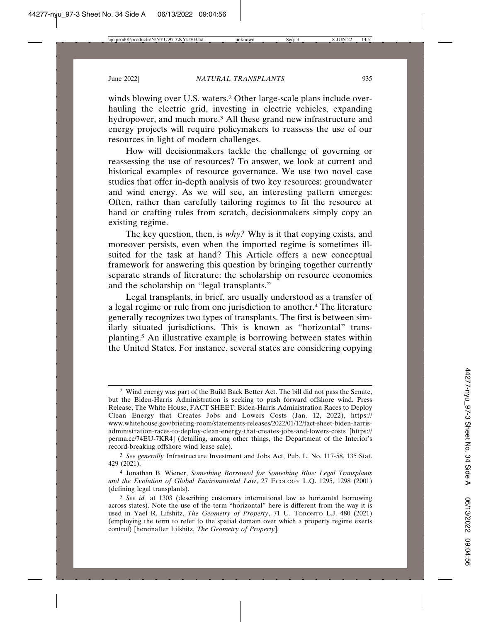winds blowing over U.S. waters.<sup>2</sup> Other large-scale plans include overhauling the electric grid, investing in electric vehicles, expanding hydropower, and much more.<sup>3</sup> All these grand new infrastructure and energy projects will require policymakers to reassess the use of our resources in light of modern challenges.

How will decisionmakers tackle the challenge of governing or reassessing the use of resources? To answer, we look at current and historical examples of resource governance. We use two novel case studies that offer in-depth analysis of two key resources: groundwater and wind energy. As we will see, an interesting pattern emerges: Often, rather than carefully tailoring regimes to fit the resource at hand or crafting rules from scratch, decisionmakers simply copy an existing regime.

The key question, then, is *why?* Why is it that copying exists, and moreover persists, even when the imported regime is sometimes illsuited for the task at hand? This Article offers a new conceptual framework for answering this question by bringing together currently separate strands of literature: the scholarship on resource economics and the scholarship on "legal transplants."

Legal transplants, in brief, are usually understood as a transfer of a legal regime or rule from one jurisdiction to another.4 The literature generally recognizes two types of transplants. The first is between similarly situated jurisdictions. This is known as "horizontal" transplanting.5 An illustrative example is borrowing between states within the United States. For instance, several states are considering copying

<sup>2</sup> Wind energy was part of the Build Back Better Act. The bill did not pass the Senate, but the Biden-Harris Administration is seeking to push forward offshore wind. Press Release, The White House, FACT SHEET: Biden-Harris Administration Races to Deploy Clean Energy that Creates Jobs and Lowers Costs (Jan. 12, 2022), https:// www.whitehouse.gov/briefing-room/statements-releases/2022/01/12/fact-sheet-biden-harrisadministration-races-to-deploy-clean-energy-that-creates-jobs-and-lowers-costs [https:// perma.cc/74EU-7KR4] (detailing, among other things, the Department of the Interior's record-breaking offshore wind lease sale).

<sup>3</sup> *See generally* Infrastructure Investment and Jobs Act, Pub. L. No. 117-58, 135 Stat. 429 (2021).

<sup>4</sup> Jonathan B. Wiener, *Something Borrowed for Something Blue: Legal Transplants and the Evolution of Global Environmental Law*, 27 ECOLOGY L.Q. 1295, 1298 (2001) (defining legal transplants).

<sup>5</sup> *See id.* at 1303 (describing customary international law as horizontal borrowing across states). Note the use of the term "horizontal" here is different from the way it is used in Yael R. Lifshitz, *The Geometry of Property*, 71 U. TORONTO L.J. 480 (2021) (employing the term to refer to the spatial domain over which a property regime exerts control) [hereinafter Lifshitz, *The Geometry of Property*].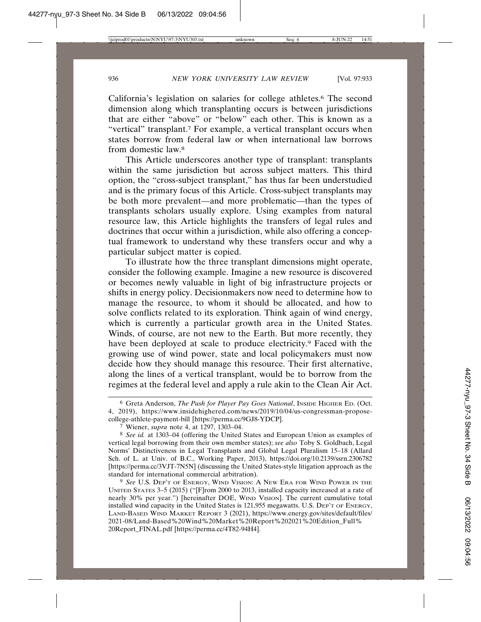California's legislation on salaries for college athletes.6 The second dimension along which transplanting occurs is between jurisdictions that are either "above" or "below" each other. This is known as a "vertical" transplant.<sup>7</sup> For example, a vertical transplant occurs when states borrow from federal law or when international law borrows from domestic law.8

This Article underscores another type of transplant: transplants within the same jurisdiction but across subject matters. This third option, the "cross-subject transplant," has thus far been understudied and is the primary focus of this Article. Cross-subject transplants may be both more prevalent—and more problematic—than the types of transplants scholars usually explore. Using examples from natural resource law, this Article highlights the transfers of legal rules and doctrines that occur within a jurisdiction, while also offering a conceptual framework to understand why these transfers occur and why a particular subject matter is copied.

To illustrate how the three transplant dimensions might operate, consider the following example. Imagine a new resource is discovered or becomes newly valuable in light of big infrastructure projects or shifts in energy policy. Decisionmakers now need to determine how to manage the resource, to whom it should be allocated, and how to solve conflicts related to its exploration. Think again of wind energy, which is currently a particular growth area in the United States. Winds, of course, are not new to the Earth. But more recently, they have been deployed at scale to produce electricity.9 Faced with the growing use of wind power, state and local policymakers must now decide how they should manage this resource. Their first alternative, along the lines of a vertical transplant, would be to borrow from the regimes at the federal level and apply a rule akin to the Clean Air Act.

9 *See* U.S. DEP'T OF ENERGY, WIND VISION: A NEW ERA FOR WIND POWER IN THE UNITED STATES 3–5 (2015) ("[F]rom 2000 to 2013, installed capacity increased at a rate of nearly 30% per year.") [hereinafter DOE, WIND VISION]. The current cumulative total installed wind capacity in the United States is 121,955 megawatts. U.S. DEP'T OF ENERGY, LAND-BASED WIND MARKET REPORT 3 (2021), https://www.energy.gov/sites/default/files/ 2021-08/Land-Based%20Wind%20Market%20Report%202021%20Edition\_Full% 20Report\_FINAL.pdf [https://perma.cc/4T82-94H4].

<sup>6</sup> Greta Anderson, *The Push for Player Pay Goes National*, INSIDE HIGHER ED. (Oct. 4, 2019), https://www.insidehighered.com/news/2019/10/04/us-congressman-proposecollege-athlete-payment-bill [https://perma.cc/9GJ8-YDCP].

<sup>7</sup> Wiener, *supra* note 4, at 1297, 1303–04.

<sup>8</sup> *See id.* at 1303–04 (offering the United States and European Union as examples of vertical legal borrowing from their own member states); *see also* Toby S. Goldbach, Legal Norms' Distinctiveness in Legal Transplants and Global Legal Pluralism 15–18 (Allard Sch. of L. at Univ. of B.C., Working Paper, 2013), https://doi.org/10.2139/ssrn.2306782 [https://perma.cc/3VJT-7N5N] (discussing the United States-style litigation approach as the standard for international commercial arbitration).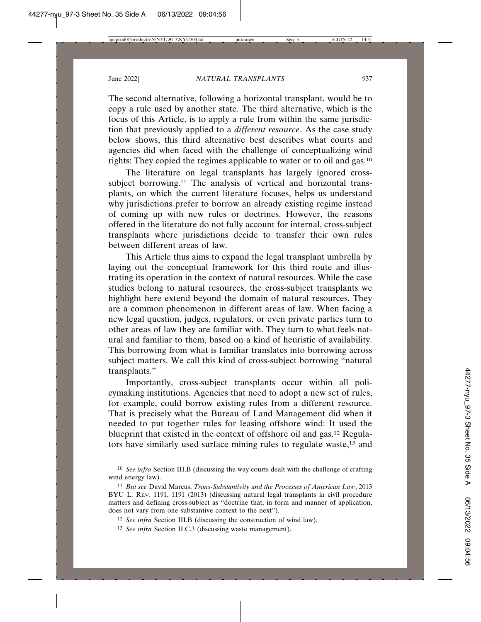The second alternative, following a horizontal transplant, would be to copy a rule used by another state. The third alternative, which is the focus of this Article, is to apply a rule from within the same jurisdiction that previously applied to a *different resource*. As the case study below shows, this third alternative best describes what courts and agencies did when faced with the challenge of conceptualizing wind rights: They copied the regimes applicable to water or to oil and gas.10

The literature on legal transplants has largely ignored crosssubject borrowing.<sup>11</sup> The analysis of vertical and horizontal transplants, on which the current literature focuses, helps us understand why jurisdictions prefer to borrow an already existing regime instead of coming up with new rules or doctrines. However, the reasons offered in the literature do not fully account for internal, cross-subject transplants where jurisdictions decide to transfer their own rules between different areas of law.

This Article thus aims to expand the legal transplant umbrella by laying out the conceptual framework for this third route and illustrating its operation in the context of natural resources. While the case studies belong to natural resources, the cross-subject transplants we highlight here extend beyond the domain of natural resources. They are a common phenomenon in different areas of law. When facing a new legal question, judges, regulators, or even private parties turn to other areas of law they are familiar with. They turn to what feels natural and familiar to them, based on a kind of heuristic of availability. This borrowing from what is familiar translates into borrowing across subject matters. We call this kind of cross-subject borrowing "natural transplants."

Importantly, cross-subject transplants occur within all policymaking institutions. Agencies that need to adopt a new set of rules, for example, could borrow existing rules from a different resource. That is precisely what the Bureau of Land Management did when it needed to put together rules for leasing offshore wind: It used the blueprint that existed in the context of offshore oil and gas.12 Regulators have similarly used surface mining rules to regulate waste,13 and

<sup>10</sup> *See infra* Section III.B (discussing the way courts dealt with the challenge of crafting wind energy law).

<sup>11</sup> *But see* David Marcus, *Trans-Substantivity and the Processes of American Law*, 2013 BYU L. REV. 1191, 1191 (2013) (discussing natural legal transplants in civil procedure matters and defining cross-subject as "doctrine that, in form and manner of application, does not vary from one substantive context to the next").

<sup>12</sup> *See infra* Section III.B (discussing the construction of wind law).

<sup>13</sup> *See infra* Section II.C.3 (discussing waste management).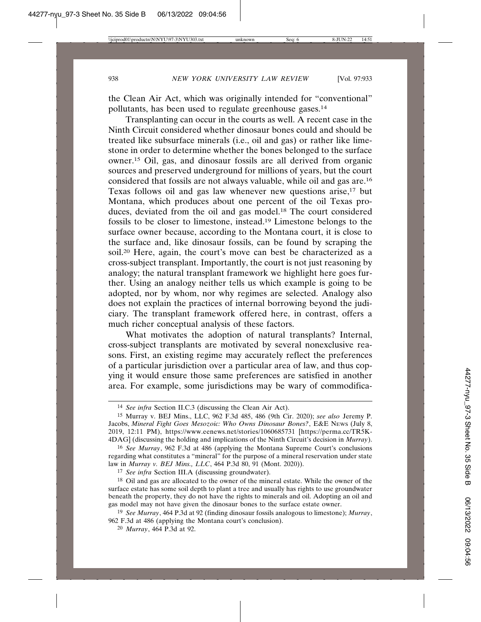the Clean Air Act, which was originally intended for "conventional" pollutants, has been used to regulate greenhouse gases.14

Transplanting can occur in the courts as well. A recent case in the Ninth Circuit considered whether dinosaur bones could and should be treated like subsurface minerals (i.e., oil and gas) or rather like limestone in order to determine whether the bones belonged to the surface owner.15 Oil, gas, and dinosaur fossils are all derived from organic sources and preserved underground for millions of years, but the court considered that fossils are not always valuable, while oil and gas are.16 Texas follows oil and gas law whenever new questions arise,17 but Montana, which produces about one percent of the oil Texas produces, deviated from the oil and gas model.18 The court considered fossils to be closer to limestone, instead.19 Limestone belongs to the surface owner because, according to the Montana court, it is close to the surface and, like dinosaur fossils, can be found by scraping the soil.20 Here, again, the court's move can best be characterized as a cross-subject transplant. Importantly, the court is not just reasoning by analogy; the natural transplant framework we highlight here goes further. Using an analogy neither tells us which example is going to be adopted, nor by whom, nor why regimes are selected. Analogy also does not explain the practices of internal borrowing beyond the judiciary. The transplant framework offered here, in contrast, offers a much richer conceptual analysis of these factors.

What motivates the adoption of natural transplants? Internal, cross-subject transplants are motivated by several nonexclusive reasons. First, an existing regime may accurately reflect the preferences of a particular jurisdiction over a particular area of law, and thus copying it would ensure those same preferences are satisfied in another area. For example, some jurisdictions may be wary of commodifica-

17 *See infra* Section III.A (discussing groundwater).

<sup>14</sup> *See infra* Section II.C.3 (discussing the Clean Air Act).

<sup>15</sup> Murray v. BEJ Mins., LLC, 962 F.3d 485, 486 (9th Cir. 2020); *see also* Jeremy P. Jacobs, *Mineral Fight Goes Mesozoic: Who Owns Dinosaur Bones?*, E&E NEWS (July 8, 2019, 12:11 PM), https://www.eenews.net/stories/1060685731 [https://perma.cc/TR5K-4DAG] (discussing the holding and implications of the Ninth Circuit's decision in *Murray*).

<sup>16</sup> *See Murray*, 962 F.3d at 486 (applying the Montana Supreme Court's conclusions regarding what constitutes a "mineral" for the purpose of a mineral reservation under state law in *Murray v. BEJ Mins., LLC*, 464 P.3d 80, 91 (Mont. 2020)).

<sup>&</sup>lt;sup>18</sup> Oil and gas are allocated to the owner of the mineral estate. While the owner of the surface estate has some soil depth to plant a tree and usually has rights to use groundwater beneath the property, they do not have the rights to minerals and oil. Adopting an oil and gas model may not have given the dinosaur bones to the surface estate owner.

<sup>19</sup> *See Murray*, 464 P.3d at 92 (finding dinosaur fossils analogous to limestone); *Murray*, 962 F.3d at 486 (applying the Montana court's conclusion).

<sup>20</sup> *Murray*, 464 P.3d at 92.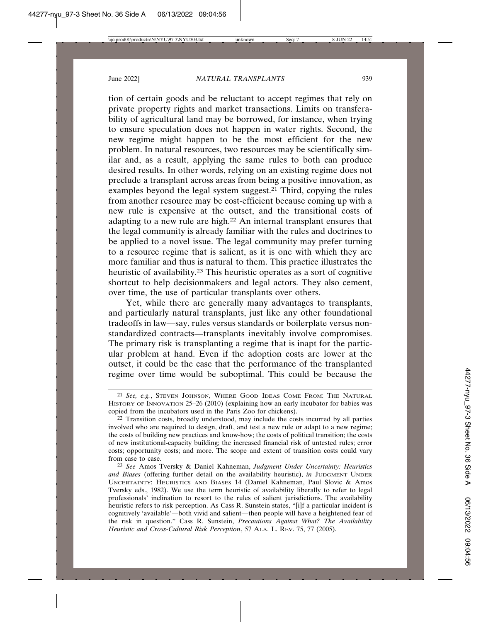tion of certain goods and be reluctant to accept regimes that rely on private property rights and market transactions. Limits on transferability of agricultural land may be borrowed, for instance, when trying to ensure speculation does not happen in water rights. Second, the new regime might happen to be the most efficient for the new problem. In natural resources, two resources may be scientifically similar and, as a result, applying the same rules to both can produce desired results. In other words, relying on an existing regime does not preclude a transplant across areas from being a positive innovation, as examples beyond the legal system suggest.21 Third, copying the rules from another resource may be cost-efficient because coming up with a new rule is expensive at the outset, and the transitional costs of adapting to a new rule are high.22 An internal transplant ensures that the legal community is already familiar with the rules and doctrines to be applied to a novel issue. The legal community may prefer turning to a resource regime that is salient, as it is one with which they are more familiar and thus is natural to them. This practice illustrates the heuristic of availability.23 This heuristic operates as a sort of cognitive shortcut to help decisionmakers and legal actors. They also cement, over time, the use of particular transplants over others.

Yet, while there are generally many advantages to transplants, and particularly natural transplants, just like any other foundational tradeoffs in law—say, rules versus standards or boilerplate versus nonstandardized contracts—transplants inevitably involve compromises. The primary risk is transplanting a regime that is inapt for the particular problem at hand. Even if the adoption costs are lower at the outset, it could be the case that the performance of the transplanted regime over time would be suboptimal. This could be because the

<sup>21</sup> *See, e.g.*, STEVEN JOHNSON, WHERE GOOD IDEAS COME FROM: THE NATURAL HISTORY OF INNOVATION 25–26 (2010) (explaining how an early incubator for babies was copied from the incubators used in the Paris Zoo for chickens).

<sup>22</sup> Transition costs, broadly understood, may include the costs incurred by all parties involved who are required to design, draft, and test a new rule or adapt to a new regime; the costs of building new practices and know-how; the costs of political transition; the costs of new institutional-capacity building; the increased financial risk of untested rules; error costs; opportunity costs; and more. The scope and extent of transition costs could vary from case to case.

<sup>23</sup> *See* Amos Tversky & Daniel Kahneman, *Judgment Under Uncertainty: Heuristics and Biases* (offering further detail on the availability heuristic), *in* JUDGMENT UNDER UNCERTAINTY: HEURISTICS AND BIASES 14 (Daniel Kahneman, Paul Slovic & Amos Tversky eds., 1982). We use the term heuristic of availability liberally to refer to legal professionals' inclination to resort to the rules of salient jurisdictions. The availability heuristic refers to risk perception. As Cass R. Sunstein states, "[i]f a particular incident is cognitively 'available'—both vivid and salient—then people will have a heightened fear of the risk in question." Cass R. Sunstein, *Precautions Against What? The Availability Heuristic and Cross-Cultural Risk Perception*, 57 ALA. L. REV. 75, 77 (2005).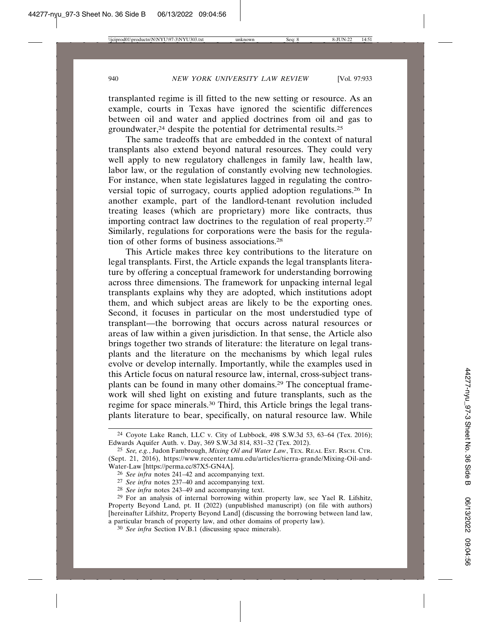transplanted regime is ill fitted to the new setting or resource. As an example, courts in Texas have ignored the scientific differences between oil and water and applied doctrines from oil and gas to groundwater,<sup>24</sup> despite the potential for detrimental results.<sup>25</sup>

The same tradeoffs that are embedded in the context of natural transplants also extend beyond natural resources. They could very well apply to new regulatory challenges in family law, health law, labor law, or the regulation of constantly evolving new technologies. For instance, when state legislatures lagged in regulating the controversial topic of surrogacy, courts applied adoption regulations.26 In another example, part of the landlord-tenant revolution included treating leases (which are proprietary) more like contracts, thus importing contract law doctrines to the regulation of real property.27 Similarly, regulations for corporations were the basis for the regulation of other forms of business associations.28

This Article makes three key contributions to the literature on legal transplants. First, the Article expands the legal transplants literature by offering a conceptual framework for understanding borrowing across three dimensions. The framework for unpacking internal legal transplants explains why they are adopted, which institutions adopt them, and which subject areas are likely to be the exporting ones. Second, it focuses in particular on the most understudied type of transplant—the borrowing that occurs across natural resources or areas of law within a given jurisdiction. In that sense, the Article also brings together two strands of literature: the literature on legal transplants and the literature on the mechanisms by which legal rules evolve or develop internally. Importantly, while the examples used in this Article focus on natural resource law, internal, cross-subject transplants can be found in many other domains.29 The conceptual framework will shed light on existing and future transplants, such as the regime for space minerals.30 Third, this Article brings the legal transplants literature to bear, specifically, on natural resource law. While

28 *See infra* notes 243–49 and accompanying text.

<sup>24</sup> Coyote Lake Ranch, LLC v. City of Lubbock, 498 S.W.3d 53, 63–64 (Tex. 2016); Edwards Aquifer Auth. v. Day, 369 S.W.3d 814, 831–32 (Tex. 2012).

<sup>25</sup> *See, e.g.*, Judon Fambrough, *Mixing Oil and Water Law*, TEX. REAL EST. RSCH. CTR. (Sept. 21, 2016), https://www.recenter.tamu.edu/articles/tierra-grande/Mixing-Oil-and-Water-Law [https://perma.cc/87X5-GN4A].

<sup>26</sup> *See infra* notes 241–42 and accompanying text.

<sup>27</sup> *See infra* notes 237–40 and accompanying text.

<sup>29</sup> For an analysis of internal borrowing within property law, see Yael R. Lifshitz, Property Beyond Land, pt. II (2022) (unpublished manuscript) (on file with authors) [hereinafter Lifshitz, Property Beyond Land] (discussing the borrowing between land law, a particular branch of property law, and other domains of property law).

<sup>30</sup> *See infra* Section IV.B.1 (discussing space minerals).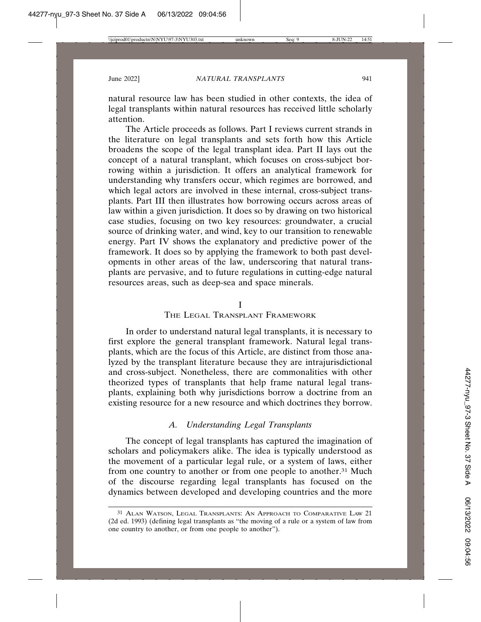natural resource law has been studied in other contexts, the idea of legal transplants within natural resources has received little scholarly attention.

The Article proceeds as follows. Part I reviews current strands in the literature on legal transplants and sets forth how this Article broadens the scope of the legal transplant idea. Part II lays out the concept of a natural transplant, which focuses on cross-subject borrowing within a jurisdiction. It offers an analytical framework for understanding why transfers occur, which regimes are borrowed, and which legal actors are involved in these internal, cross-subject transplants. Part III then illustrates how borrowing occurs across areas of law within a given jurisdiction. It does so by drawing on two historical case studies, focusing on two key resources: groundwater, a crucial source of drinking water, and wind, key to our transition to renewable energy. Part IV shows the explanatory and predictive power of the framework. It does so by applying the framework to both past developments in other areas of the law, underscoring that natural transplants are pervasive, and to future regulations in cutting-edge natural resources areas, such as deep-sea and space minerals.

## I

#### THE LEGAL TRANSPLANT FRAMEWORK

In order to understand natural legal transplants, it is necessary to first explore the general transplant framework. Natural legal transplants, which are the focus of this Article, are distinct from those analyzed by the transplant literature because they are intrajurisdictional and cross-subject. Nonetheless, there are commonalities with other theorized types of transplants that help frame natural legal transplants, explaining both why jurisdictions borrow a doctrine from an existing resource for a new resource and which doctrines they borrow.

## *A. Understanding Legal Transplants*

The concept of legal transplants has captured the imagination of scholars and policymakers alike. The idea is typically understood as the movement of a particular legal rule, or a system of laws, either from one country to another or from one people to another.31 Much of the discourse regarding legal transplants has focused on the dynamics between developed and developing countries and the more

<sup>31</sup> ALAN WATSON, LEGAL TRANSPLANTS: AN APPROACH TO COMPARATIVE LAW 21 (2d ed. 1993) (defining legal transplants as "the moving of a rule or a system of law from one country to another, or from one people to another").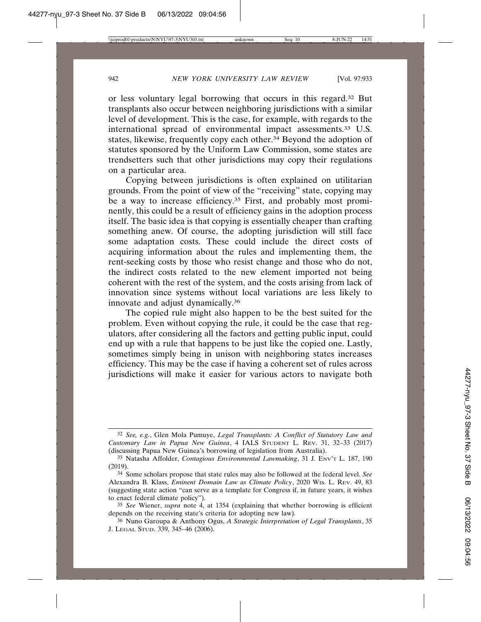or less voluntary legal borrowing that occurs in this regard.32 But transplants also occur between neighboring jurisdictions with a similar level of development. This is the case, for example, with regards to the international spread of environmental impact assessments.33 U.S. states, likewise, frequently copy each other.34 Beyond the adoption of statutes sponsored by the Uniform Law Commission, some states are trendsetters such that other jurisdictions may copy their regulations on a particular area.

Copying between jurisdictions is often explained on utilitarian grounds. From the point of view of the "receiving" state, copying may be a way to increase efficiency.<sup>35</sup> First, and probably most prominently, this could be a result of efficiency gains in the adoption process itself. The basic idea is that copying is essentially cheaper than crafting something anew. Of course, the adopting jurisdiction will still face some adaptation costs. These could include the direct costs of acquiring information about the rules and implementing them, the rent-seeking costs by those who resist change and those who do not, the indirect costs related to the new element imported not being coherent with the rest of the system, and the costs arising from lack of innovation since systems without local variations are less likely to innovate and adjust dynamically.36

The copied rule might also happen to be the best suited for the problem. Even without copying the rule, it could be the case that regulators, after considering all the factors and getting public input, could end up with a rule that happens to be just like the copied one. Lastly, sometimes simply being in unison with neighboring states increases efficiency. This may be the case if having a coherent set of rules across jurisdictions will make it easier for various actors to navigate both

<sup>32</sup> *See, e.g.*, Glen Mola Pumuye, *Legal Transplants: A Conflict of Statutory Law and Customary Law in Papua New Guinea*, 4 IALS STUDENT L. REV. 31, 32–33 (2017) (discussing Papua New Guinea's borrowing of legislation from Australia).

<sup>33</sup> Natasha Affolder, *Contagious Environmental Lawmaking*, 31 J. ENV'T L. 187, 190 (2019).

<sup>34</sup> Some scholars propose that state rules may also be followed at the federal level. *See* Alexandra B. Klass, *Eminent Domain Law as Climate Policy*, 2020 WIS. L. REV. 49, 83 (suggesting state action "can serve as a template for Congress if, in future years, it wishes to enact federal climate policy").

<sup>35</sup> *See* Wiener, *supra* note 4, at 1354 (explaining that whether borrowing is efficient depends on the receiving state's criteria for adopting new law).

<sup>36</sup> Nuno Garoupa & Anthony Ogus, *A Strategic Interpretation of Legal Transplants*, 35 J. LEGAL STUD. 339, 345–46 (2006).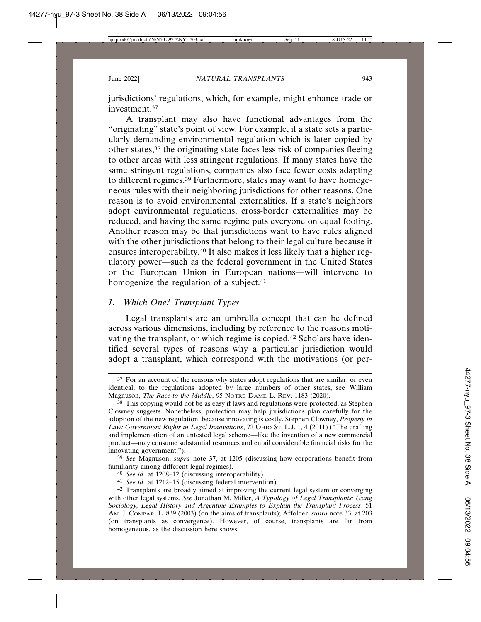jurisdictions' regulations, which, for example, might enhance trade or investment.37

A transplant may also have functional advantages from the "originating" state's point of view. For example, if a state sets a particularly demanding environmental regulation which is later copied by other states,38 the originating state faces less risk of companies fleeing to other areas with less stringent regulations. If many states have the same stringent regulations, companies also face fewer costs adapting to different regimes.39 Furthermore, states may want to have homogeneous rules with their neighboring jurisdictions for other reasons. One reason is to avoid environmental externalities. If a state's neighbors adopt environmental regulations, cross-border externalities may be reduced, and having the same regime puts everyone on equal footing. Another reason may be that jurisdictions want to have rules aligned with the other jurisdictions that belong to their legal culture because it ensures interoperability.40 It also makes it less likely that a higher regulatory power—such as the federal government in the United States or the European Union in European nations—will intervene to homogenize the regulation of a subject.<sup>41</sup>

# *1. Which One? Transplant Types*

Legal transplants are an umbrella concept that can be defined across various dimensions, including by reference to the reasons motivating the transplant, or which regime is copied.42 Scholars have identified several types of reasons why a particular jurisdiction would adopt a transplant, which correspond with the motivations (or per-

<sup>37</sup> For an account of the reasons why states adopt regulations that are similar, or even identical, to the regulations adopted by large numbers of other states, see William Magnuson, *The Race to the Middle*, 95 NOTRE DAME L. REV. 1183 (2020).

<sup>38</sup> This copying would not be as easy if laws and regulations were protected, as Stephen Clowney suggests. Nonetheless, protection may help jurisdictions plan carefully for the adoption of the new regulation, because innovating is costly. Stephen Clowney, *Property in* Law: Government Rights in Legal Innovations, 72 OHIO St. L.J. 1, 4 (2011) ("The drafting and implementation of an untested legal scheme—like the invention of a new commercial product—may consume substantial resources and entail considerable financial risks for the innovating government.").

<sup>39</sup> *See* Magnuson, *supra* note 37, at 1205 (discussing how corporations benefit from familiarity among different legal regimes).

<sup>40</sup> *See id.* at 1208–12 (discussing interoperability).

<sup>41</sup> *See id.* at 1212–15 (discussing federal intervention).

<sup>42</sup> Transplants are broadly aimed at improving the current legal system or converging with other legal systems. *See* Jonathan M. Miller, *A Typology of Legal Transplants: Using Sociology, Legal History and Argentine Examples to Explain the Transplant Process*, 51 AM. J. COMPAR. L. 839 (2003) (on the aims of transplants); Affolder, *supra* note 33, at 203 (on transplants as convergence). However, of course, transplants are far from homogeneous, as the discussion here shows.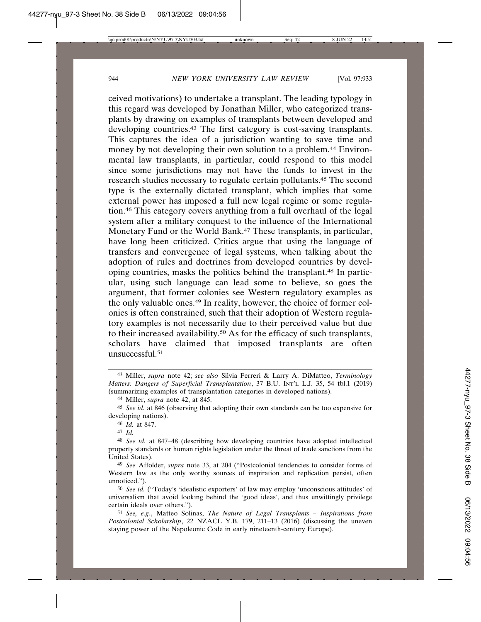ceived motivations) to undertake a transplant. The leading typology in this regard was developed by Jonathan Miller, who categorized transplants by drawing on examples of transplants between developed and developing countries.<sup>43</sup> The first category is cost-saving transplants. This captures the idea of a jurisdiction wanting to save time and money by not developing their own solution to a problem.44 Environmental law transplants, in particular, could respond to this model since some jurisdictions may not have the funds to invest in the research studies necessary to regulate certain pollutants.45 The second type is the externally dictated transplant, which implies that some external power has imposed a full new legal regime or some regulation.46 This category covers anything from a full overhaul of the legal system after a military conquest to the influence of the International Monetary Fund or the World Bank.<sup>47</sup> These transplants, in particular, have long been criticized. Critics argue that using the language of transfers and convergence of legal systems, when talking about the adoption of rules and doctrines from developed countries by developing countries, masks the politics behind the transplant.48 In particular, using such language can lead some to believe, so goes the argument, that former colonies see Western regulatory examples as the only valuable ones.49 In reality, however, the choice of former colonies is often constrained, such that their adoption of Western regulatory examples is not necessarily due to their perceived value but due to their increased availability.50 As for the efficacy of such transplants, scholars have claimed that imposed transplants are often unsuccessful.51

47 *Id.*

<sup>43</sup> Miller, *supra* note 42; *see also* Silvia Ferreri & Larry A. DiMatteo, *Terminology Matters: Dangers of Superficial Transplantation*, 37 B.U. INT'L L.J. 35, 54 tbl.1 (2019) (summarizing examples of transplantation categories in developed nations).

<sup>44</sup> Miller, *supra* note 42, at 845.

<sup>45</sup> *See id.* at 846 (observing that adopting their own standards can be too expensive for developing nations).

<sup>46</sup> *Id.* at 847.

<sup>48</sup> *See id.* at 847–48 (describing how developing countries have adopted intellectual property standards or human rights legislation under the threat of trade sanctions from the United States).

<sup>49</sup> *See* Affolder, *supra* note 33, at 204 ("Postcolonial tendencies to consider forms of Western law as the only worthy sources of inspiration and replication persist, often unnoticed.").

<sup>50</sup> *See id.* ("Today's 'idealistic exporters' of law may employ 'unconscious attitudes' of universalism that avoid looking behind the 'good ideas', and thus unwittingly privilege certain ideals over others.").

<sup>51</sup> *See, e.g.*, Matteo Solinas, *The Nature of Legal Transplants – Inspirations from Postcolonial Scholarship*, 22 NZACL Y.B. 179, 211–13 (2016) (discussing the uneven staying power of the Napoleonic Code in early nineteenth-century Europe).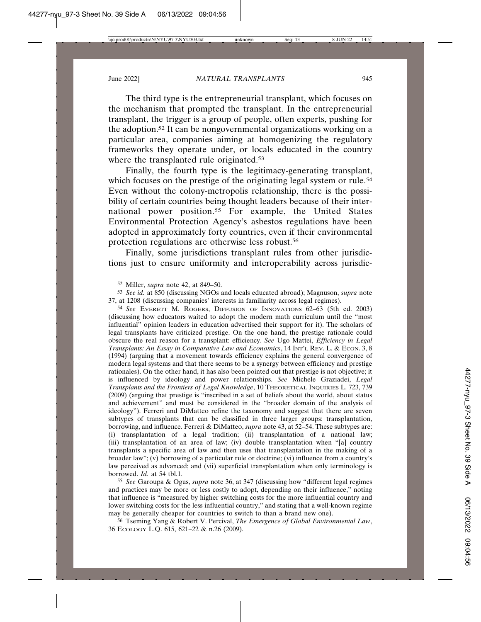The third type is the entrepreneurial transplant, which focuses on the mechanism that prompted the transplant. In the entrepreneurial transplant, the trigger is a group of people, often experts, pushing for the adoption.52 It can be nongovernmental organizations working on a particular area, companies aiming at homogenizing the regulatory frameworks they operate under, or locals educated in the country where the transplanted rule originated.<sup>53</sup>

Finally, the fourth type is the legitimacy-generating transplant, which focuses on the prestige of the originating legal system or rule.<sup>54</sup> Even without the colony-metropolis relationship, there is the possibility of certain countries being thought leaders because of their international power position.55 For example, the United States Environmental Protection Agency's asbestos regulations have been adopted in approximately forty countries, even if their environmental protection regulations are otherwise less robust.56

Finally, some jurisdictions transplant rules from other jurisdictions just to ensure uniformity and interoperability across jurisdic-

54 *See* EVERETT M. ROGERS, DIFFUSION OF INNOVATIONS 62–63 (5th ed. 2003) (discussing how educators waited to adopt the modern math curriculum until the "most influential" opinion leaders in education advertised their support for it). The scholars of legal transplants have criticized prestige. On the one hand, the prestige rationale could obscure the real reason for a transplant: efficiency. *See* Ugo Mattei, *Efficiency in Legal Transplants: An Essay in Comparative Law and Economics*, 14 INT'L REV. L. & ECON. 3, 8 (1994) (arguing that a movement towards efficiency explains the general convergence of modern legal systems and that there seems to be a synergy between efficiency and prestige rationales). On the other hand, it has also been pointed out that prestige is not objective; it is influenced by ideology and power relationships. *See* Michele Graziadei, *Legal Transplants and the Frontiers of Legal Knowledge*, 10 THEORETICAL INQUIRIES L. 723, 739 (2009) (arguing that prestige is "inscribed in a set of beliefs about the world, about status and achievement" and must be considered in the "broader domain of the analysis of ideology"). Ferreri and DiMatteo refine the taxonomy and suggest that there are seven subtypes of transplants that can be classified in three larger groups: transplantation, borrowing, and influence. Ferreri & DiMatteo, *supra* note 43, at 52–54. These subtypes are: (i) transplantation of a legal tradition; (ii) transplantation of a national law; (iii) transplantation of an area of law; (iv) double transplantation when "[a] country transplants a specific area of law and then uses that transplantation in the making of a broader law"; (v) borrowing of a particular rule or doctrine; (vi) influence from a country's law perceived as advanced; and (vii) superficial transplantation when only terminology is borrowed. *Id.* at 54 tbl.1.

55 *See* Garoupa & Ogus, *supra* note 36, at 347 (discussing how "different legal regimes and practices may be more or less costly to adopt, depending on their influence," noting that influence is "measured by higher switching costs for the more influential country and lower switching costs for the less influential country," and stating that a well-known regime may be generally cheaper for countries to switch to than a brand new one).

56 Tseming Yang & Robert V. Percival, *The Emergence of Global Environmental Law*, 36 ECOLOGY L.Q. 615, 621–22 & n.26 (2009).

<sup>52</sup> Miller, *supra* note 42, at 849–50.

<sup>53</sup> *See id.* at 850 (discussing NGOs and locals educated abroad); Magnuson, *supra* note 37, at 1208 (discussing companies' interests in familiarity across legal regimes).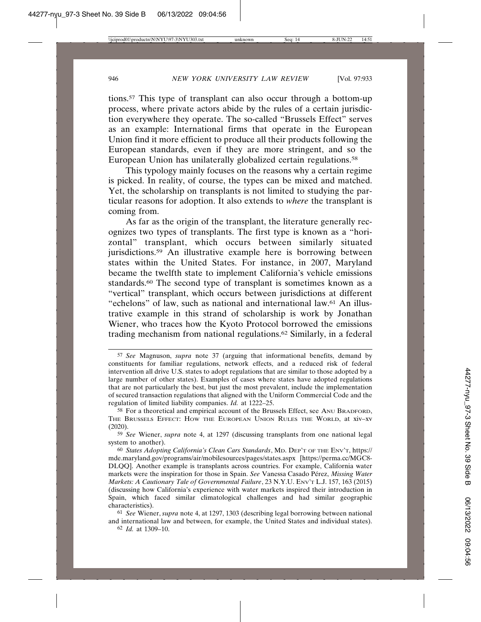tions.57 This type of transplant can also occur through a bottom-up process, where private actors abide by the rules of a certain jurisdiction everywhere they operate. The so-called "Brussels Effect" serves as an example: International firms that operate in the European Union find it more efficient to produce all their products following the European standards, even if they are more stringent, and so the European Union has unilaterally globalized certain regulations.58

This typology mainly focuses on the reasons why a certain regime is picked. In reality, of course, the types can be mixed and matched. Yet, the scholarship on transplants is not limited to studying the particular reasons for adoption. It also extends to *where* the transplant is coming from.

As far as the origin of the transplant, the literature generally recognizes two types of transplants. The first type is known as a "horizontal" transplant, which occurs between similarly situated jurisdictions.<sup>59</sup> An illustrative example here is borrowing between states within the United States. For instance, in 2007, Maryland became the twelfth state to implement California's vehicle emissions standards.<sup>60</sup> The second type of transplant is sometimes known as a "vertical" transplant, which occurs between jurisdictions at different "echelons" of law, such as national and international law.61 An illustrative example in this strand of scholarship is work by Jonathan Wiener, who traces how the Kyoto Protocol borrowed the emissions trading mechanism from national regulations.62 Similarly, in a federal

62 *Id.* at 1309–10.

<sup>57</sup> *See* Magnuson, *supra* note 37 (arguing that informational benefits, demand by constituents for familiar regulations, network effects, and a reduced risk of federal intervention all drive U.S. states to adopt regulations that are similar to those adopted by a large number of other states). Examples of cases where states have adopted regulations that are not particularly the best, but just the most prevalent, include the implementation of secured transaction regulations that aligned with the Uniform Commercial Code and the regulation of limited liability companies. *Id.* at 1222–25.

<sup>58</sup> For a theoretical and empirical account of the Brussels Effect, see ANU BRADFORD, THE BRUSSELS EFFECT: HOW THE EUROPEAN UNION RULES THE WORLD, at xiv–xv (2020).

<sup>59</sup> *See* Wiener, *supra* note 4, at 1297 (discussing transplants from one national legal system to another).

<sup>60</sup> *States Adopting California's Clean Cars Standards*, MD. DEP'T OF THE ENV'T, https:// mde.maryland.gov/programs/air/mobilesources/pages/states.aspx [https://perma.cc/MGC8- DLQQ]. Another example is transplants across countries. For example, California water markets were the inspiration for those in Spain. *See* Vanessa Casado Pérez, *Missing Water Markets: A Cautionary Tale of Governmental Failure*, 23 N.Y.U. ENV'T L.J. 157, 163 (2015) (discussing how California's experience with water markets inspired their introduction in Spain, which faced similar climatological challenges and had similar geographic characteristics).

<sup>61</sup> *See* Wiener, *supra* note 4, at 1297, 1303 (describing legal borrowing between national and international law and between, for example, the United States and individual states).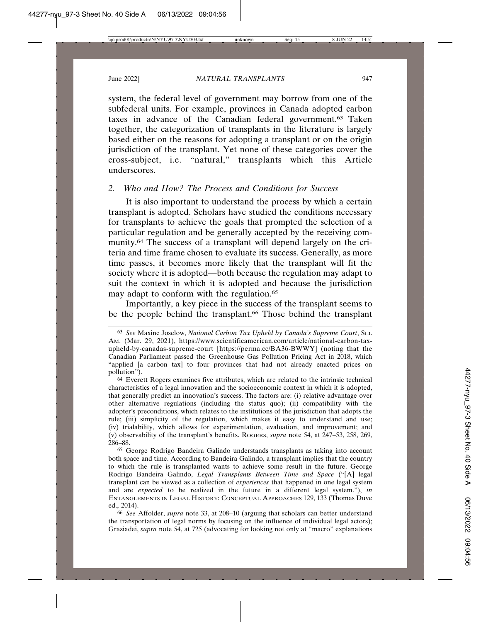system, the federal level of government may borrow from one of the subfederal units. For example, provinces in Canada adopted carbon taxes in advance of the Canadian federal government.63 Taken together, the categorization of transplants in the literature is largely based either on the reasons for adopting a transplant or on the origin jurisdiction of the transplant. Yet none of these categories cover the cross-subject, i.e. "natural," transplants which this Article underscores.

## *2. Who and How? The Process and Conditions for Success*

It is also important to understand the process by which a certain transplant is adopted. Scholars have studied the conditions necessary for transplants to achieve the goals that prompted the selection of a particular regulation and be generally accepted by the receiving community.64 The success of a transplant will depend largely on the criteria and time frame chosen to evaluate its success. Generally, as more time passes, it becomes more likely that the transplant will fit the society where it is adopted—both because the regulation may adapt to suit the context in which it is adopted and because the jurisdiction may adapt to conform with the regulation.<sup>65</sup>

Importantly, a key piece in the success of the transplant seems to be the people behind the transplant.<sup>66</sup> Those behind the transplant

<sup>63</sup> *See* Maxine Joselow, *National Carbon Tax Upheld by Canada's Supreme Court*, SCI. AM. (Mar. 29, 2021), https://www.scientificamerican.com/article/national-carbon-taxupheld-by-canadas-supreme-court [https://perma.cc/BA36-BWWY] (noting that the Canadian Parliament passed the Greenhouse Gas Pollution Pricing Act in 2018, which "applied [a carbon tax] to four provinces that had not already enacted prices on pollution").

<sup>64</sup> Everett Rogers examines five attributes, which are related to the intrinsic technical characteristics of a legal innovation and the socioeconomic context in which it is adopted, that generally predict an innovation's success. The factors are: (i) relative advantage over other alternative regulations (including the status quo); (ii) compatibility with the adopter's preconditions, which relates to the institutions of the jurisdiction that adopts the rule; (iii) simplicity of the regulation, which makes it easy to understand and use; (iv) trialability, which allows for experimentation, evaluation, and improvement; and (v) observability of the transplant's benefits. ROGERS, *supra* note 54, at 247–53, 258, 269, 286–88.

<sup>65</sup> George Rodrigo Bandeira Galindo understands transplants as taking into account both space and time. According to Bandeira Galindo, a transplant implies that the country to which the rule is transplanted wants to achieve some result in the future. George Rodrigo Bandeira Galindo, *Legal Transplants Between Time and Space* ("[A] legal transplant can be viewed as a collection of *experiences* that happened in one legal system and are *expected* to be realized in the future in a different legal system."), *in* ENTANGLEMENTS IN LEGAL HISTORY: CONCEPTUAL APPROACHES 129, 133 (Thomas Duve ed., 2014).

<sup>66</sup> *See* Affolder, *supra* note 33, at 208–10 (arguing that scholars can better understand the transportation of legal norms by focusing on the influence of individual legal actors); Graziadei, *supra* note 54, at 725 (advocating for looking not only at "macro" explanations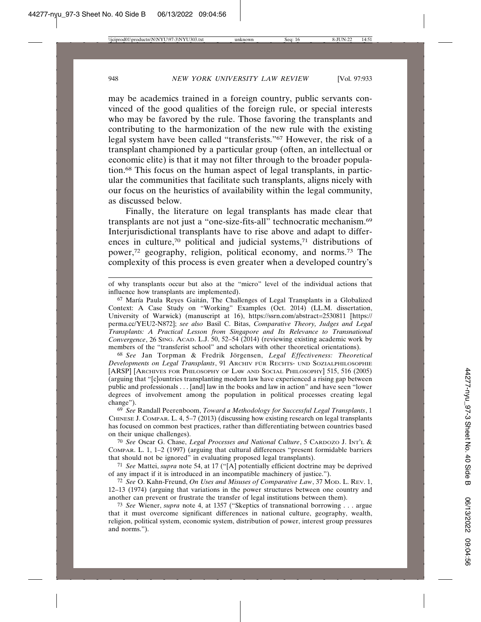may be academics trained in a foreign country, public servants convinced of the good qualities of the foreign rule, or special interests who may be favored by the rule. Those favoring the transplants and contributing to the harmonization of the new rule with the existing legal system have been called "transferists."67 However, the risk of a transplant championed by a particular group (often, an intellectual or economic elite) is that it may not filter through to the broader population.68 This focus on the human aspect of legal transplants, in particular the communities that facilitate such transplants, aligns nicely with our focus on the heuristics of availability within the legal community, as discussed below.

Finally, the literature on legal transplants has made clear that transplants are not just a "one-size-fits-all" technocratic mechanism.69 Interjurisdictional transplants have to rise above and adapt to differences in culture,<sup>70</sup> political and judicial systems,<sup>71</sup> distributions of power,72 geography, religion, political economy, and norms.73 The complexity of this process is even greater when a developed country's

of why transplants occur but also at the "micro" level of the individual actions that influence how transplants are implemented).

67 María Paula Reyes Gaitán, The Challenges of Legal Transplants in a Globalized Context: A Case Study on "Working" Examples (Oct. 2014) (LL.M. dissertation, University of Warwick) (manuscript at 16), https://ssrn.com/abstract=2530811 [https:// perma.cc/YEU2-N872]; *see also* Basil C. Bitas, *Comparative Theory, Judges and Legal Transplants: A Practical Lesson from Singapore and Its Relevance to Transnational Convergence*, 26 SING. ACAD. L.J. 50, 52–54 (2014) (reviewing existing academic work by members of the "transferist school" and scholars with other theoretical orientations).

68 See Jan Torpman & Fredrik Jörgensen, *Legal Effectiveness: Theoretical Developments on Legal Transplants*, 91 ARCHIV FUR¨ RECHTS- UND SOZIALPHILOSOPHIE [ARSP] [ARCHIVES FOR PHILOSOPHY OF LAW AND SOCIAL PHILOSOPHY] 515, 516 (2005) (arguing that "[c]ountries transplanting modern law have experienced a rising gap between public and professionals . . . [and] law in the books and law in action" and have seen "lower degrees of involvement among the population in political processes creating legal change").

69 *See* Randall Peerenboom, *Toward a Methodology for Successful Legal Transplants*, 1 CHINESE J. COMPAR. L. 4, 5–7 (2013) (discussing how existing research on legal transplants has focused on common best practices, rather than differentiating between countries based on their unique challenges).

70 *See* Oscar G. Chase, *Legal Processes and National Culture*, 5 CARDOZO J. INT'L & COMPAR. L. 1, 1–2 (1997) (arguing that cultural differences "present formidable barriers that should not be ignored" in evaluating proposed legal transplants).

71 *See* Mattei, *supra* note 54, at 17 ("[A] potentially efficient doctrine may be deprived of any impact if it is introduced in an incompatible machinery of justice.").

72 *See* O. Kahn-Freund, *On Uses and Misuses of Comparative Law*, 37 MOD. L. REV. 1, 12–13 (1974) (arguing that variations in the power structures between one country and another can prevent or frustrate the transfer of legal institutions between them).

73 *See* Wiener, *supra* note 4, at 1357 ("Skeptics of transnational borrowing . . . argue that it must overcome significant differences in national culture, geography, wealth, religion, political system, economic system, distribution of power, interest group pressures and norms.").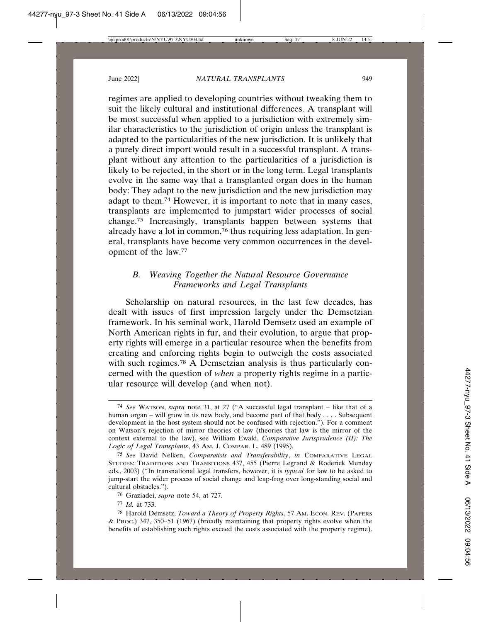regimes are applied to developing countries without tweaking them to suit the likely cultural and institutional differences. A transplant will be most successful when applied to a jurisdiction with extremely similar characteristics to the jurisdiction of origin unless the transplant is adapted to the particularities of the new jurisdiction. It is unlikely that a purely direct import would result in a successful transplant. A transplant without any attention to the particularities of a jurisdiction is likely to be rejected, in the short or in the long term. Legal transplants evolve in the same way that a transplanted organ does in the human body: They adapt to the new jurisdiction and the new jurisdiction may adapt to them.74 However, it is important to note that in many cases, transplants are implemented to jumpstart wider processes of social change.75 Increasingly, transplants happen between systems that already have a lot in common,<sup>76</sup> thus requiring less adaptation. In general, transplants have become very common occurrences in the development of the law.77

## *B. Weaving Together the Natural Resource Governance Frameworks and Legal Transplants*

Scholarship on natural resources, in the last few decades, has dealt with issues of first impression largely under the Demsetzian framework. In his seminal work, Harold Demsetz used an example of North American rights in fur, and their evolution, to argue that property rights will emerge in a particular resource when the benefits from creating and enforcing rights begin to outweigh the costs associated with such regimes.<sup>78</sup> A Demsetzian analysis is thus particularly concerned with the question of *when* a property rights regime in a particular resource will develop (and when not).

<sup>74</sup> *See* WATSON, *supra* note 31, at 27 ("A successful legal transplant – like that of a human organ – will grow in its new body, and become part of that body . . . . Subsequent development in the host system should not be confused with rejection."). For a comment on Watson's rejection of mirror theories of law (theories that law is the mirror of the context external to the law), see William Ewald, *Comparative Jurisprudence (II): The Logic of Legal Transplants*, 43 AM. J. COMPAR. L. 489 (1995).

<sup>75</sup> *See* David Nelken, *Comparatists and Transferability*, *in* COMPARATIVE LEGAL STUDIES: TRADITIONS AND TRANSITIONS 437, 455 (Pierre Legrand & Roderick Munday eds., 2003) ("In transnational legal transfers, however, it is *typical* for law to be asked to jump-start the wider process of social change and leap-frog over long-standing social and cultural obstacles.").

<sup>76</sup> Graziadei, *supra* note 54, at 727.

<sup>77</sup> *Id.* at 733.

<sup>78</sup> Harold Demsetz, *Toward a Theory of Property Rights*, 57 AM. ECON. REV. (PAPERS & PROC.) 347, 350–51 (1967) (broadly maintaining that property rights evolve when the benefits of establishing such rights exceed the costs associated with the property regime).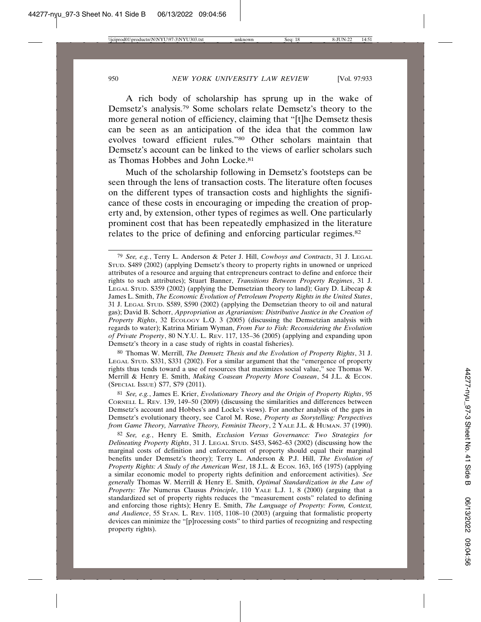A rich body of scholarship has sprung up in the wake of Demsetz's analysis.79 Some scholars relate Demsetz's theory to the more general notion of efficiency, claiming that "[t]he Demsetz thesis can be seen as an anticipation of the idea that the common law evolves toward efficient rules."80 Other scholars maintain that Demsetz's account can be linked to the views of earlier scholars such as Thomas Hobbes and John Locke.81

Much of the scholarship following in Demsetz's footsteps can be seen through the lens of transaction costs. The literature often focuses on the different types of transaction costs and highlights the significance of these costs in encouraging or impeding the creation of property and, by extension, other types of regimes as well. One particularly prominent cost that has been repeatedly emphasized in the literature relates to the price of defining and enforcing particular regimes.82

80 Thomas W. Merrill, *The Demsetz Thesis and the Evolution of Property Rights*, 31 J. LEGAL STUD. S331, S331 (2002). For a similar argument that the "emergence of property rights thus tends toward a use of resources that maximizes social value," see Thomas W. Merrill & Henry E. Smith, *Making Coasean Property More Coasean*, 54 J.L. & ECON. (SPECIAL ISSUE) S77, S79 (2011).

81 *See, e.g.*, James E. Krier, *Evolutionary Theory and the Origin of Property Rights*, 95 CORNELL L. REV. 139, 149–50 (2009) (discussing the similarities and differences between Demsetz's account and Hobbes's and Locke's views). For another analysis of the gaps in Demsetz's evolutionary theory, see Carol M. Rose, *Property as Storytelling: Perspectives from Game Theory, Narrative Theory, Feminist Theory*, 2 YALE J.L. & HUMAN. 37 (1990).

82 *See, e.g.*, Henry E. Smith, *Exclusion Versus Governance: Two Strategies for Delineating Property Rights*, 31 J. LEGAL STUD. S453, S462–63 (2002) (discussing how the marginal costs of definition and enforcement of property should equal their marginal benefits under Demsetz's theory); Terry L. Anderson & P.J. Hill, *The Evolution of Property Rights: A Study of the American West*, 18 J.L. & ECON. 163, 165 (1975) (applying a similar economic model to property rights definition and enforcement activities). *See generally* Thomas W. Merrill & Henry E. Smith, *Optimal Standardization in the Law of Property: The* Numerus Clausus *Principle*, 110 YALE L.J. 1, 8 (2000) (arguing that a standardized set of property rights reduces the "measurement costs" related to defining and enforcing those rights); Henry E. Smith, *The Language of Property: Form, Context, and Audience*, 55 STAN. L. REV. 1105, 1108–10 (2003) (arguing that formalistic property devices can minimize the "[p]rocessing costs" to third parties of recognizing and respecting property rights).

<sup>79</sup> *See, e.g.*, Terry L. Anderson & Peter J. Hill, *Cowboys and Contracts*, 31 J. LEGAL STUD. S489 (2002) (applying Demsetz's theory to property rights in unowned or unpriced attributes of a resource and arguing that entrepreneurs contract to define and enforce their rights to such attributes); Stuart Banner, *Transitions Between Property Regimes*, 31 J. LEGAL STUD. S359 (2002) (applying the Demsetzian theory to land); Gary D. Libecap & James L. Smith, *The Economic Evolution of Petroleum Property Rights in the United States*, 31 J. LEGAL STUD. S589, S590 (2002) (applying the Demsetzian theory to oil and natural gas); David B. Schorr, *Appropriation as Agrarianism: Distributive Justice in the Creation of Property Rights*, 32 ECOLOGY L.Q. 3 (2005) (discussing the Demsetzian analysis with regards to water); Katrina Miriam Wyman, *From Fur to Fish: Reconsidering the Evolution of Private Property*, 80 N.Y.U. L. REV. 117, 135–36 (2005) (applying and expanding upon Demsetz's theory in a case study of rights in coastal fisheries).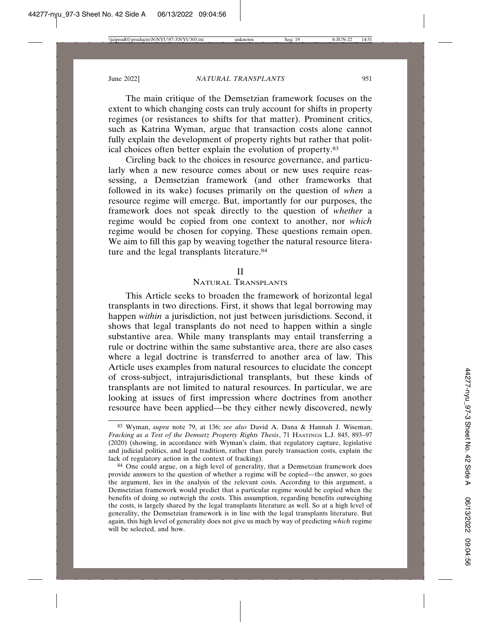The main critique of the Demsetzian framework focuses on the extent to which changing costs can truly account for shifts in property regimes (or resistances to shifts for that matter). Prominent critics, such as Katrina Wyman, argue that transaction costs alone cannot fully explain the development of property rights but rather that political choices often better explain the evolution of property.83

Circling back to the choices in resource governance, and particularly when a new resource comes about or new uses require reassessing, a Demsetzian framework (and other frameworks that followed in its wake) focuses primarily on the question of *when* a resource regime will emerge. But, importantly for our purposes, the framework does not speak directly to the question of *whether* a regime would be copied from one context to another, nor *which* regime would be chosen for copying. These questions remain open. We aim to fill this gap by weaving together the natural resource literature and the legal transplants literature.<sup>84</sup>

#### II

#### NATURAL TRANSPLANTS

This Article seeks to broaden the framework of horizontal legal transplants in two directions. First, it shows that legal borrowing may happen *within* a jurisdiction, not just between jurisdictions. Second, it shows that legal transplants do not need to happen within a single substantive area. While many transplants may entail transferring a rule or doctrine within the same substantive area, there are also cases where a legal doctrine is transferred to another area of law. This Article uses examples from natural resources to elucidate the concept of cross-subject, intrajurisdictional transplants, but these kinds of transplants are not limited to natural resources. In particular, we are looking at issues of first impression where doctrines from another resource have been applied—be they either newly discovered, newly

<sup>83</sup> Wyman, *supra* note 79, at 136; *see also* David A. Dana & Hannah J. Wiseman, *Fracking as a Test of the Demsetz Property Rights Thesis*, 71 HASTINGS L.J. 845, 893–97 (2020) (showing, in accordance with Wyman's claim, that regulatory capture, legislative and judicial politics, and legal tradition, rather than purely transaction costs, explain the lack of regulatory action in the context of fracking).

<sup>84</sup> One could argue, on a high level of generality, that a Demsetzian framework does provide answers to the question of whether a regime will be copied—the answer, so goes the argument, lies in the analysis of the relevant costs. According to this argument, a Demsetzian framework would predict that a particular regime would be copied when the benefits of doing so outweigh the costs. This assumption, regarding benefits outweighing the costs, is largely shared by the legal transplants literature as well. So at a high level of generality, the Demsetzian framework is in line with the legal transplants literature. But again, this high level of generality does not give us much by way of predicting *which* regime will be selected, and how.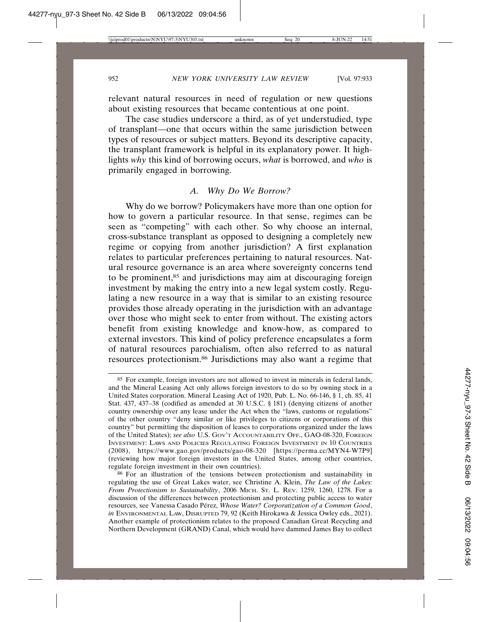relevant natural resources in need of regulation or new questions about existing resources that became contentious at one point.

The case studies underscore a third, as of yet understudied, type of transplant—one that occurs within the same jurisdiction between types of resources or subject matters. Beyond its descriptive capacity, the transplant framework is helpful in its explanatory power. It highlights *why* this kind of borrowing occurs, *what* is borrowed, and *who* is primarily engaged in borrowing.

### *A. Why Do We Borrow?*

Why do we borrow? Policymakers have more than one option for how to govern a particular resource. In that sense, regimes can be seen as "competing" with each other. So why choose an internal, cross-substance transplant as opposed to designing a completely new regime or copying from another jurisdiction? A first explanation relates to particular preferences pertaining to natural resources. Natural resource governance is an area where sovereignty concerns tend to be prominent,<sup>85</sup> and jurisdictions may aim at discouraging foreign investment by making the entry into a new legal system costly. Regulating a new resource in a way that is similar to an existing resource provides those already operating in the jurisdiction with an advantage over those who might seek to enter from without. The existing actors benefit from existing knowledge and know-how, as compared to external investors. This kind of policy preference encapsulates a form of natural resources parochialism, often also referred to as natural resources protectionism.86 Jurisdictions may also want a regime that

<sup>85</sup> For example, foreign investors are not allowed to invest in minerals in federal lands, and the Mineral Leasing Act only allows foreign investors to do so by owning stock in a United States corporation. Mineral Leasing Act of 1920, Pub. L. No. 66-146, § 1, ch. 85, 41 Stat. 437, 437–38 (codified as amended at 30 U.S.C. § 181) (denying citizens of another country ownership over any lease under the Act when the "laws, customs or regulations" of the other country "deny similar or like privileges to citizens or corporations of this country" but permitting the disposition of leases to corporations organized under the laws of the United States); *see also* U.S. GOV'T ACCOUNTABILITY OFF., GAO-08-320, FOREIGN INVESTMENT: LAWS AND POLICIES REGULATING FOREIGN INVESTMENT IN 10 COUNTRIES (2008), https://www.gao.gov/products/gao-08-320 [https://perma.cc/MYN4-W7P9] (reviewing how major foreign investors in the United States, among other countries, regulate foreign investment in their own countries).

<sup>86</sup> For an illustration of the tensions between protectionism and sustainability in regulating the use of Great Lakes water, see Christine A. Klein, *The Law of the Lakes: From Protectionism to Sustainability*, 2006 MICH. ST. L. REV. 1259, 1260, 1278. For a discussion of the differences between protectionism and protecting public access to water resources, see Vanessa Casado Pérez, Whose Water? Corporatization of a Common Good, *in* ENVIRONMENTAL LAW, DISRUPTED 79, 92 (Keith Hirokawa & Jessica Owley eds., 2021). Another example of protectionism relates to the proposed Canadian Great Recycling and Northern Development (GRAND) Canal, which would have dammed James Bay to collect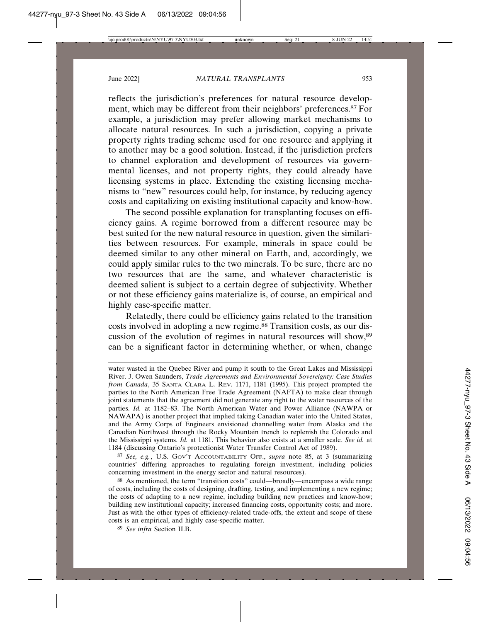reflects the jurisdiction's preferences for natural resource development, which may be different from their neighbors' preferences.<sup>87</sup> For example, a jurisdiction may prefer allowing market mechanisms to allocate natural resources. In such a jurisdiction, copying a private property rights trading scheme used for one resource and applying it to another may be a good solution. Instead, if the jurisdiction prefers to channel exploration and development of resources via governmental licenses, and not property rights, they could already have licensing systems in place. Extending the existing licensing mechanisms to "new" resources could help, for instance, by reducing agency costs and capitalizing on existing institutional capacity and know-how.

The second possible explanation for transplanting focuses on efficiency gains. A regime borrowed from a different resource may be best suited for the new natural resource in question, given the similarities between resources. For example, minerals in space could be deemed similar to any other mineral on Earth, and, accordingly, we could apply similar rules to the two minerals. To be sure, there are no two resources that are the same, and whatever characteristic is deemed salient is subject to a certain degree of subjectivity. Whether or not these efficiency gains materialize is, of course, an empirical and highly case-specific matter.

Relatedly, there could be efficiency gains related to the transition costs involved in adopting a new regime.<sup>88</sup> Transition costs, as our discussion of the evolution of regimes in natural resources will show,89 can be a significant factor in determining whether, or when, change

87 *See, e.g.*, U.S. GOV'T ACCOUNTABILITY OFF., *supra* note 85, at 3 (summarizing countries' differing approaches to regulating foreign investment, including policies concerning investment in the energy sector and natural resources).

88 As mentioned, the term "transition costs" could—broadly—encompass a wide range of costs, including the costs of designing, drafting, testing, and implementing a new regime; the costs of adapting to a new regime, including building new practices and know-how; building new institutional capacity; increased financing costs, opportunity costs; and more. Just as with the other types of efficiency-related trade-offs, the extent and scope of these costs is an empirical, and highly case-specific matter.

89 *See infra* Section II.B.

water wasted in the Quebec River and pump it south to the Great Lakes and Mississippi River. J. Owen Saunders, *Trade Agreements and Environmental Sovereignty: Case Studies from Canada*, 35 SANTA CLARA L. REV. 1171, 1181 (1995). This project prompted the parties to the North American Free Trade Agreement (NAFTA) to make clear through joint statements that the agreement did not generate any right to the water resources of the parties. *Id.* at 1182–83. The North American Water and Power Alliance (NAWPA or NAWAPA) is another project that implied taking Canadian water into the United States, and the Army Corps of Engineers envisioned channelling water from Alaska and the Canadian Northwest through the Rocky Mountain trench to replenish the Colorado and the Mississippi systems. *Id.* at 1181. This behavior also exists at a smaller scale. *See id.* at 1184 (discussing Ontario's protectionist Water Transfer Control Act of 1989).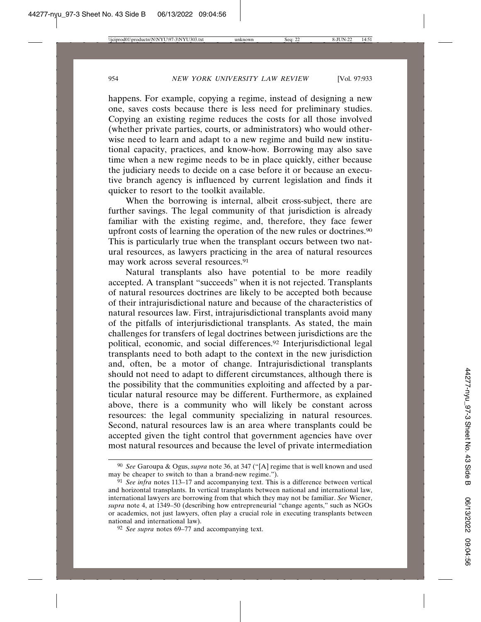happens. For example, copying a regime, instead of designing a new one, saves costs because there is less need for preliminary studies. Copying an existing regime reduces the costs for all those involved (whether private parties, courts, or administrators) who would otherwise need to learn and adapt to a new regime and build new institutional capacity, practices, and know-how. Borrowing may also save time when a new regime needs to be in place quickly, either because the judiciary needs to decide on a case before it or because an executive branch agency is influenced by current legislation and finds it quicker to resort to the toolkit available.

When the borrowing is internal, albeit cross-subject, there are further savings. The legal community of that jurisdiction is already familiar with the existing regime, and, therefore, they face fewer upfront costs of learning the operation of the new rules or doctrines.90 This is particularly true when the transplant occurs between two natural resources, as lawyers practicing in the area of natural resources may work across several resources.<sup>91</sup>

Natural transplants also have potential to be more readily accepted. A transplant "succeeds" when it is not rejected. Transplants of natural resources doctrines are likely to be accepted both because of their intrajurisdictional nature and because of the characteristics of natural resources law. First, intrajurisdictional transplants avoid many of the pitfalls of interjurisdictional transplants. As stated, the main challenges for transfers of legal doctrines between jurisdictions are the political, economic, and social differences.92 Interjurisdictional legal transplants need to both adapt to the context in the new jurisdiction and, often, be a motor of change. Intrajurisdictional transplants should not need to adapt to different circumstances, although there is the possibility that the communities exploiting and affected by a particular natural resource may be different. Furthermore, as explained above, there is a community who will likely be constant across resources: the legal community specializing in natural resources. Second, natural resources law is an area where transplants could be accepted given the tight control that government agencies have over most natural resources and because the level of private intermediation

<sup>90</sup> *See* Garoupa & Ogus, *supra* note 36, at 347 ("[A] regime that is well known and used may be cheaper to switch to than a brand-new regime.").

<sup>91</sup> *See infra* notes 113–17 and accompanying text. This is a difference between vertical and horizontal transplants. In vertical transplants between national and international law, international lawyers are borrowing from that which they may not be familiar. *See* Wiener, *supra* note 4, at 1349–50 (describing how entrepreneurial "change agents," such as NGOs or academics, not just lawyers, often play a crucial role in executing transplants between national and international law).

<sup>92</sup> *See supra* notes 69–77 and accompanying text.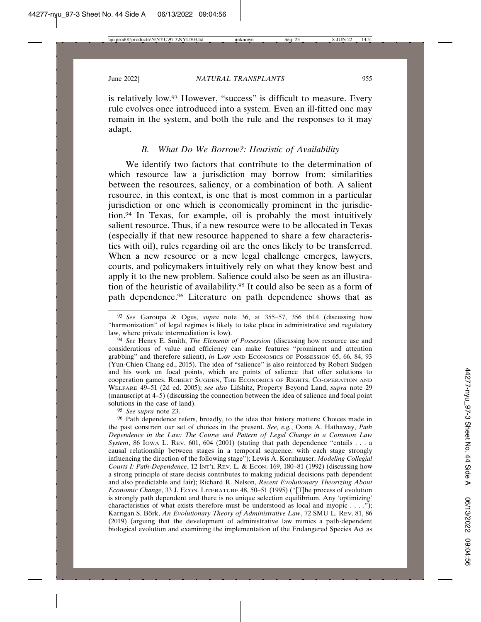is relatively low.93 However, "success" is difficult to measure. Every rule evolves once introduced into a system. Even an ill-fitted one may remain in the system, and both the rule and the responses to it may adapt.

## *B. What Do We Borrow?: Heuristic of Availability*

We identify two factors that contribute to the determination of which resource law a jurisdiction may borrow from: similarities between the resources, saliency, or a combination of both. A salient resource, in this context, is one that is most common in a particular jurisdiction or one which is economically prominent in the jurisdiction.94 In Texas, for example, oil is probably the most intuitively salient resource. Thus, if a new resource were to be allocated in Texas (especially if that new resource happened to share a few characteristics with oil), rules regarding oil are the ones likely to be transferred. When a new resource or a new legal challenge emerges, lawyers, courts, and policymakers intuitively rely on what they know best and apply it to the new problem. Salience could also be seen as an illustration of the heuristic of availability.95 It could also be seen as a form of path dependence.96 Literature on path dependence shows that as

95 *See supra* note 23.

96 Path dependence refers, broadly, to the idea that history matters: Choices made in the past constrain our set of choices in the present. *See, e.g.*, Oona A. Hathaway, *Path Dependence in the Law: The Course and Pattern of Legal Change in a Common Law System*, 86 Iowa L. Rev. 601, 604 (2001) (stating that path dependence "entails . . . a causal relationship between stages in a temporal sequence, with each stage strongly influencing the direction of the following stage"); Lewis A. Kornhauser, *Modeling Collegial Courts I: Path-Dependence*, 12 INT'L REV. L. & ECON. 169, 180–81 (1992) (discussing how a strong principle of stare decisis contributes to making judicial decisions path dependent and also predictable and fair); Richard R. Nelson, *Recent Evolutionary Theorizing About Economic Change*, 33 J. ECON. LITERATURE 48, 50–51 (1995) ("[T]he process of evolution is strongly path dependent and there is no unique selection equilibrium. Any 'optimizing' characteristics of what exists therefore must be understood as local and myopic  $\dots$ ."); Karrigan S. Börk, *An Evolutionary Theory of Administrative Law*, 72 SMU L. REV. 81, 86 (2019) (arguing that the development of administrative law mimics a path-dependent biological evolution and examining the implementation of the Endangered Species Act as

<sup>93</sup> *See* Garoupa & Ogus, *supra* note 36, at 355–57, 356 tbl.4 (discussing how "harmonization" of legal regimes is likely to take place in administrative and regulatory law, where private intermediation is low).

<sup>94</sup> *See* Henry E. Smith, *The Elements of Possession* (discussing how resource use and considerations of value and efficiency can make features "prominent and attention grabbing" and therefore salient), *in* LAW AND ECONOMICS OF POSSESSION 65, 66, 84, 93 (Yun-Chien Chang ed., 2015). The idea of "salience" is also reinforced by Robert Sudgen and his work on focal points, which are points of salience that offer solutions to cooperation games. ROBERT SUGDEN, THE ECONOMICS OF RIGHTS, CO-OPERATION AND WELFARE 49–51 (2d ed. 2005); *see also* Lifshitz, Property Beyond Land, *supra* note 29 (manuscript at 4–5) (discussing the connection between the idea of salience and focal point solutions in the case of land).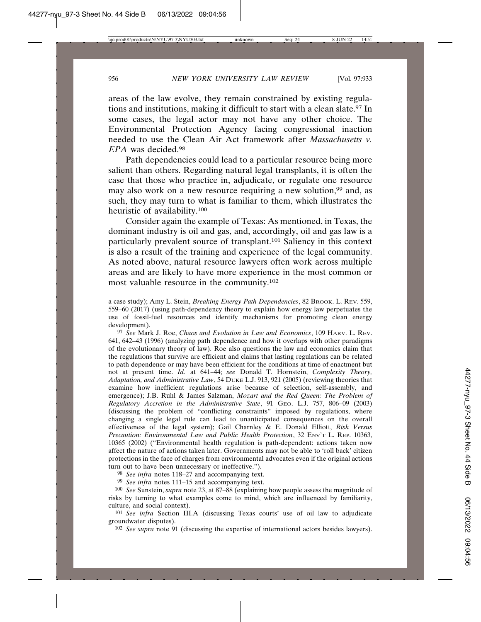areas of the law evolve, they remain constrained by existing regulations and institutions, making it difficult to start with a clean slate.<sup>97</sup> In some cases, the legal actor may not have any other choice. The Environmental Protection Agency facing congressional inaction needed to use the Clean Air Act framework after *Massachusetts v. EPA* was decided.98

Path dependencies could lead to a particular resource being more salient than others. Regarding natural legal transplants, it is often the case that those who practice in, adjudicate, or regulate one resource may also work on a new resource requiring a new solution,<sup>99</sup> and, as such, they may turn to what is familiar to them, which illustrates the heuristic of availability.100

Consider again the example of Texas: As mentioned, in Texas, the dominant industry is oil and gas, and, accordingly, oil and gas law is a particularly prevalent source of transplant.101 Saliency in this context is also a result of the training and experience of the legal community. As noted above, natural resource lawyers often work across multiple areas and are likely to have more experience in the most common or most valuable resource in the community.102

97 *See* Mark J. Roe, *Chaos and Evolution in Law and Economics*, 109 HARV. L. REV. 641, 642–43 (1996) (analyzing path dependence and how it overlaps with other paradigms of the evolutionary theory of law). Roe also questions the law and economics claim that the regulations that survive are efficient and claims that lasting regulations can be related to path dependence or may have been efficient for the conditions at time of enactment but not at present time. *Id.* at 641–44; *see* Donald T. Hornstein, *Complexity Theory, Adaptation, and Administrative Law*, 54 DUKE L.J. 913, 921 (2005) (reviewing theories that examine how inefficient regulations arise because of selection, self-assembly, and emergence); J.B. Ruhl & James Salzman, *Mozart and the Red Queen: The Problem of Regulatory Accretion in the Administrative State*, 91 GEO. L.J. 757, 806–09 (2003) (discussing the problem of "conflicting constraints" imposed by regulations, where changing a single legal rule can lead to unanticipated consequences on the overall effectiveness of the legal system); Gail Charnley & E. Donald Elliott, *Risk Versus Precaution: Environmental Law and Public Health Protection*, 32 ENV'T L. REP. 10363, 10365 (2002) ("Environmental health regulation is path-dependent: actions taken now affect the nature of actions taken later. Governments may not be able to 'roll back' citizen protections in the face of charges from environmental advocates even if the original actions turn out to have been unnecessary or ineffective.").

98 *See infra* notes 118–27 and accompanying text.

99 *See infra* notes 111–15 and accompanying text.

100 *See* Sunstein, *supra* note 23, at 87–88 (explaining how people assess the magnitude of risks by turning to what examples come to mind, which are influenced by familiarity, culture, and social context).

101 *See infra* Section III.A (discussing Texas courts' use of oil law to adjudicate groundwater disputes).

102 *See supra* note 91 (discussing the expertise of international actors besides lawyers).

a case study); Amy L. Stein, *Breaking Energy Path Dependencies*, 82 BROOK. L. REV. 559, 559–60 (2017) (using path-dependency theory to explain how energy law perpetuates the use of fossil-fuel resources and identify mechanisms for promoting clean energy development).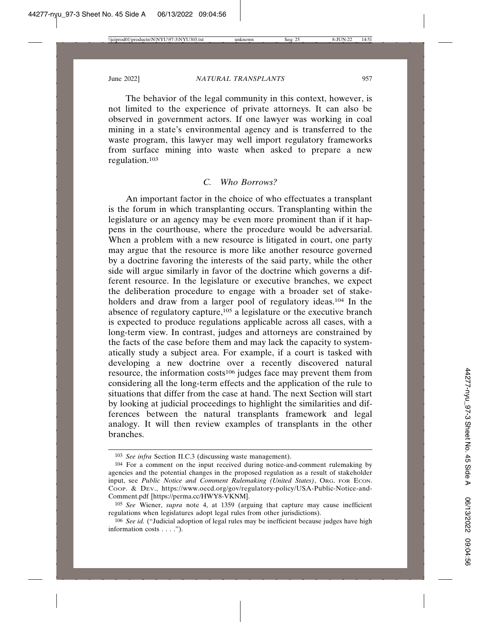The behavior of the legal community in this context, however, is not limited to the experience of private attorneys. It can also be observed in government actors. If one lawyer was working in coal mining in a state's environmental agency and is transferred to the waste program, this lawyer may well import regulatory frameworks from surface mining into waste when asked to prepare a new regulation.103

#### *C. Who Borrows?*

An important factor in the choice of who effectuates a transplant is the forum in which transplanting occurs. Transplanting within the legislature or an agency may be even more prominent than if it happens in the courthouse, where the procedure would be adversarial. When a problem with a new resource is litigated in court, one party may argue that the resource is more like another resource governed by a doctrine favoring the interests of the said party, while the other side will argue similarly in favor of the doctrine which governs a different resource. In the legislature or executive branches, we expect the deliberation procedure to engage with a broader set of stakeholders and draw from a larger pool of regulatory ideas.<sup>104</sup> In the absence of regulatory capture,105 a legislature or the executive branch is expected to produce regulations applicable across all cases, with a long-term view. In contrast, judges and attorneys are constrained by the facts of the case before them and may lack the capacity to systematically study a subject area. For example, if a court is tasked with developing a new doctrine over a recently discovered natural resource, the information costs<sup>106</sup> judges face may prevent them from considering all the long-term effects and the application of the rule to situations that differ from the case at hand. The next Section will start by looking at judicial proceedings to highlight the similarities and differences between the natural transplants framework and legal analogy. It will then review examples of transplants in the other branches.

<sup>103</sup> *See infra* Section II.C.3 (discussing waste management).

<sup>104</sup> For a comment on the input received during notice-and-comment rulemaking by agencies and the potential changes in the proposed regulation as a result of stakeholder input, see *Public Notice and Comment Rulemaking (United States)*, ORG. FOR ECON. Coop. & Dev., https://www.oecd.org/gov/regulatory-policy/USA-Public-Notice-and-Comment.pdf [https://perma.cc/HWY8-VKNM].

<sup>105</sup> *See* Wiener, *supra* note 4, at 1359 (arguing that capture may cause inefficient regulations when legislatures adopt legal rules from other jurisdictions).

<sup>106</sup> *See id.* ("Judicial adoption of legal rules may be inefficient because judges have high information costs . . . .").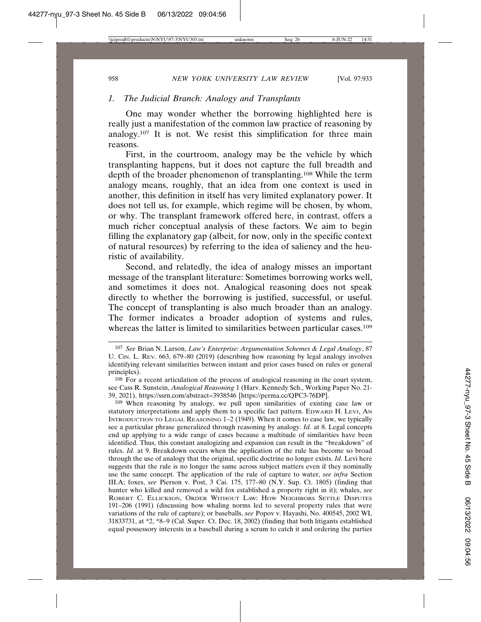## *1. The Judicial Branch: Analogy and Transplants*

One may wonder whether the borrowing highlighted here is really just a manifestation of the common law practice of reasoning by analogy.107 It is not. We resist this simplification for three main reasons.

First, in the courtroom, analogy may be the vehicle by which transplanting happens, but it does not capture the full breadth and depth of the broader phenomenon of transplanting.108 While the term analogy means, roughly, that an idea from one context is used in another, this definition in itself has very limited explanatory power. It does not tell us, for example, which regime will be chosen, by whom, or why. The transplant framework offered here, in contrast, offers a much richer conceptual analysis of these factors. We aim to begin filling the explanatory gap (albeit, for now, only in the specific context of natural resources) by referring to the idea of saliency and the heuristic of availability.

Second, and relatedly, the idea of analogy misses an important message of the transplant literature: Sometimes borrowing works well, and sometimes it does not. Analogical reasoning does not speak directly to whether the borrowing is justified, successful, or useful. The concept of transplanting is also much broader than an analogy. The former indicates a broader adoption of systems and rules, whereas the latter is limited to similarities between particular cases.<sup>109</sup>

108 For a recent articulation of the process of analogical reasoning in the court system, see Cass R. Sunstein, *Analogical Reasoning* 1 (Harv. Kennedy Sch., Working Paper No. 21- 39, 2021), https://ssrn.com/abstract=3938546 [https://perma.cc/QPC3-76DP].

109 When reasoning by analogy, we pull upon similarities of existing case law or statutory interpretations and apply them to a specific fact pattern. EDWARD H. LEVI, AN INTRODUCTION TO LEGAL REASONING 1–2 (1949). When it comes to case law, we typically see a particular phrase generalized through reasoning by analogy. *Id.* at 8. Legal concepts end up applying to a wide range of cases because a multitude of similarities have been identified. Thus, this constant analogizing and expansion can result in the "breakdown" of rules. *Id.* at 9. Breakdown occurs when the application of the rule has become so broad through the use of analogy that the original, specific doctrine no longer exists. *Id.* Levi here suggests that the rule is no longer the same across subject matters even if they nominally use the same concept. The application of the rule of capture to water, *see infra* Section III.A; foxes, *see* Pierson v. Post, 3 Cai. 175, 177–80 (N.Y. Sup. Ct. 1805) (finding that hunter who killed and removed a wild fox established a property right in it); whales, *see* ROBERT C. ELLICKSON, ORDER WITHOUT LAW: HOW NEIGHBORS SETTLE DISPUTES 191–206 (1991) (discussing how whaling norms led to several property rules that were variations of the rule of capture); or baseballs, *see* Popov v. Hayashi, No. 400545, 2002 WL 31833731, at \*2, \*8–9 (Cal. Super. Ct. Dec. 18, 2002) (finding that both litigants established equal possessory interests in a baseball during a scrum to catch it and ordering the parties

<sup>107</sup> *See* Brian N. Larson, *Law's Enterprise: Argumentation Schemes & Legal Analogy*, 87 U. CIN. L. REV. 663, 679–80 (2019) (describing how reasoning by legal analogy involves identifying relevant similarities between instant and prior cases based on rules or general principles).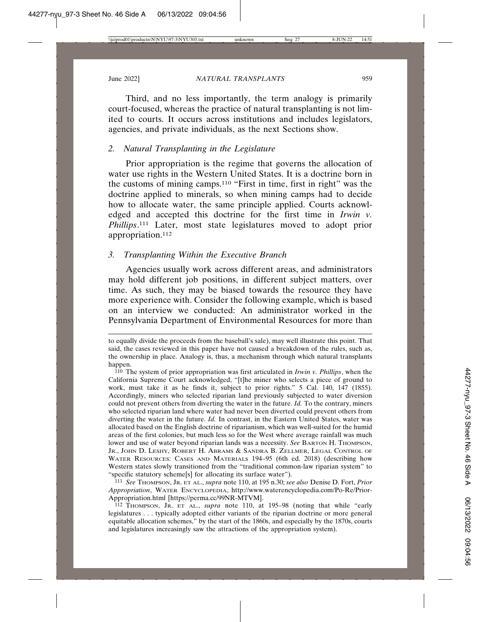Third, and no less importantly, the term analogy is primarily court-focused, whereas the practice of natural transplanting is not limited to courts. It occurs across institutions and includes legislators, agencies, and private individuals, as the next Sections show.

## *2. Natural Transplanting in the Legislature*

Prior appropriation is the regime that governs the allocation of water use rights in the Western United States. It is a doctrine born in the customs of mining camps.110 "First in time, first in right" was the doctrine applied to minerals, so when mining camps had to decide how to allocate water, the same principle applied. Courts acknowledged and accepted this doctrine for the first time in *Irwin v. Phillips*. 111 Later, most state legislatures moved to adopt prior appropriation.112

## *3. Transplanting Within the Executive Branch*

Agencies usually work across different areas, and administrators may hold different job positions, in different subject matters, over time. As such, they may be biased towards the resource they have more experience with. Consider the following example, which is based on an interview we conducted: An administrator worked in the Pennsylvania Department of Environmental Resources for more than

111 *See* THOMPSON, JR. ET AL., *supra* note 110, at 195 n.30; *see also* Denise D. Fort, *Prior Appropriation*, WATER ENCYCLOPEDIA, http://www.waterencyclopedia.com/Po-Re/Prior-Appropriation.html [https://perma.cc/99NR-MTVM].

112 THOMPSON, JR. ET AL., *supra* note 110, at 195–98 (noting that while "early legislatures . . . typically adopted either variants of the riparian doctrine or more general equitable allocation schemes," by the start of the 1860s, and especially by the 1870s, courts and legislatures increasingly saw the attractions of the appropriation system).

to equally divide the proceeds from the baseball's sale), may well illustrate this point. That said, the cases reviewed in this paper have not caused a breakdown of the rules, such as, the ownership in place. Analogy is, thus, a mechanism through which natural transplants happen.

<sup>110</sup> The system of prior appropriation was first articulated in *Irwin v. Phillips*, when the California Supreme Court acknowledged, "[t]he miner who selects a piece of ground to work, must take it as he finds it, subject to prior rights." 5 Cal. 140, 147 (1855). Accordingly, miners who selected riparian land previously subjected to water diversion could not prevent others from diverting the water in the future. *Id.* To the contrary, miners who selected riparian land where water had never been diverted could prevent others from diverting the water in the future. *Id.* In contrast, in the Eastern United States, water was allocated based on the English doctrine of riparianism, which was well-suited for the humid areas of the first colonies, but much less so for the West where average rainfall was much lower and use of water beyond riparian lands was a necessity. *See* BARTON H. THOMPSON, JR., JOHN D. LESHY, ROBERT H. ABRAMS & SANDRA B. ZELLMER, LEGAL CONTROL OF WATER RESOURCES: CASES AND MATERIALS 194–95 (6th ed. 2018) (describing how Western states slowly transitioned from the "traditional common-law riparian system" to "specific statutory scheme[s] for allocating its surface water").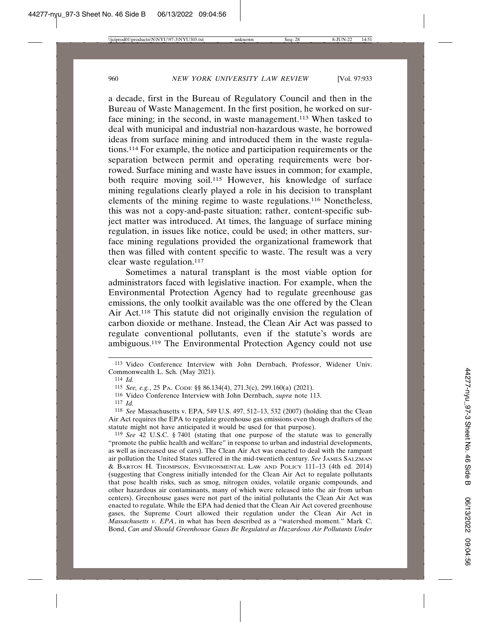a decade, first in the Bureau of Regulatory Council and then in the Bureau of Waste Management. In the first position, he worked on surface mining; in the second, in waste management.113 When tasked to deal with municipal and industrial non-hazardous waste, he borrowed ideas from surface mining and introduced them in the waste regulations.114 For example, the notice and participation requirements or the separation between permit and operating requirements were borrowed. Surface mining and waste have issues in common; for example, both require moving soil.115 However, his knowledge of surface mining regulations clearly played a role in his decision to transplant elements of the mining regime to waste regulations.116 Nonetheless, this was not a copy-and-paste situation; rather, content-specific subject matter was introduced. At times, the language of surface mining regulation, in issues like notice, could be used; in other matters, surface mining regulations provided the organizational framework that then was filled with content specific to waste. The result was a very clear waste regulation.<sup>117</sup>

Sometimes a natural transplant is the most viable option for administrators faced with legislative inaction. For example, when the Environmental Protection Agency had to regulate greenhouse gas emissions, the only toolkit available was the one offered by the Clean Air Act.118 This statute did not originally envision the regulation of carbon dioxide or methane. Instead, the Clean Air Act was passed to regulate conventional pollutants, even if the statute's words are ambiguous.119 The Environmental Protection Agency could not use

118 *See* Massachusetts v. EPA, 549 U.S. 497, 512–13, 532 (2007) (holding that the Clean Air Act requires the EPA to regulate greenhouse gas emissions even though drafters of the statute might not have anticipated it would be used for that purpose).

119 *See* 42 U.S.C. § 7401 (stating that one purpose of the statute was to generally "promote the public health and welfare" in response to urban and industrial developments, as well as increased use of cars). The Clean Air Act was enacted to deal with the rampant air pollution the United States suffered in the mid-twentieth century. *See* JAMES SALZMAN & BARTON H. THOMPSON, ENVIRONMENTAL LAW AND POLICY 111–13 (4th ed. 2014) (suggesting that Congress initially intended for the Clean Air Act to regulate pollutants that pose health risks, such as smog, nitrogen oxides, volatile organic compounds, and other hazardous air contaminants, many of which were released into the air from urban centers). Greenhouse gases were not part of the initial pollutants the Clean Air Act was enacted to regulate. While the EPA had denied that the Clean Air Act covered greenhouse gases, the Supreme Court allowed their regulation under the Clean Air Act in *Massachusetts v. EPA*, in what has been described as a "watershed moment." Mark C. Bond, *Can and Should Greenhouse Gases Be Regulated as Hazardous Air Pollutants Under*

<sup>113</sup> Video Conference Interview with John Dernbach, Professor, Widener Univ. Commonwealth L. Sch. (May 2021).

<sup>114</sup> *Id.*

<sup>115</sup> *See, e.g.*, 25 PA. CODE §§ 86.134(4), 271.3(c), 299.160(a) (2021).

<sup>116</sup> Video Conference Interview with John Dernbach, *supra* note 113.

<sup>117</sup> *Id.*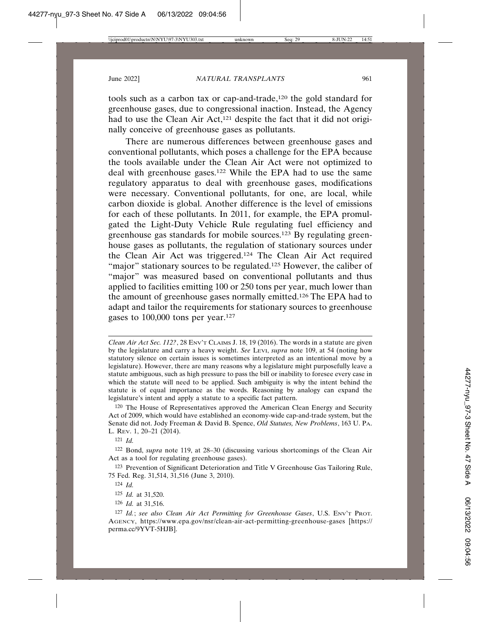tools such as a carbon tax or cap-and-trade,120 the gold standard for greenhouse gases, due to congressional inaction. Instead, the Agency had to use the Clean Air Act,<sup>121</sup> despite the fact that it did not originally conceive of greenhouse gases as pollutants.

There are numerous differences between greenhouse gases and conventional pollutants, which poses a challenge for the EPA because the tools available under the Clean Air Act were not optimized to deal with greenhouse gases.122 While the EPA had to use the same regulatory apparatus to deal with greenhouse gases, modifications were necessary. Conventional pollutants, for one, are local, while carbon dioxide is global. Another difference is the level of emissions for each of these pollutants. In 2011, for example, the EPA promulgated the Light-Duty Vehicle Rule regulating fuel efficiency and greenhouse gas standards for mobile sources.123 By regulating greenhouse gases as pollutants, the regulation of stationary sources under the Clean Air Act was triggered.124 The Clean Air Act required "major" stationary sources to be regulated.<sup>125</sup> However, the caliber of "major" was measured based on conventional pollutants and thus applied to facilities emitting 100 or 250 tons per year, much lower than the amount of greenhouse gases normally emitted.126 The EPA had to adapt and tailor the requirements for stationary sources to greenhouse gases to 100,000 tons per year.127

*Clean Air Act Sec. 112?*, 28 ENV'T CLAIMS J. 18, 19 (2016). The words in a statute are given by the legislature and carry a heavy weight. *See* LEVI, *supra* note 109, at 54 (noting how statutory silence on certain issues is sometimes interpreted as an intentional move by a legislature). However, there are many reasons why a legislature might purposefully leave a statute ambiguous, such as high pressure to pass the bill or inability to foresee every case in which the statute will need to be applied. Such ambiguity is why the intent behind the statute is of equal importance as the words. Reasoning by analogy can expand the legislature's intent and apply a statute to a specific fact pattern.

120 The House of Representatives approved the American Clean Energy and Security Act of 2009, which would have established an economy-wide cap-and-trade system, but the Senate did not. Jody Freeman & David B. Spence, *Old Statutes, New Problems*, 163 U. PA. L. REV. 1, 20–21 (2014).

121 *Id.*

122 Bond, *supra* note 119, at 28–30 (discussing various shortcomings of the Clean Air Act as a tool for regulating greenhouse gases).

123 Prevention of Significant Deterioration and Title V Greenhouse Gas Tailoring Rule, 75 Fed. Reg. 31,514, 31,516 (June 3, 2010).

126 *Id.* at 31,516.

<sup>124</sup> *Id.*

<sup>125</sup> *Id.* at 31,520.

<sup>127</sup> *Id.*; *see also Clean Air Act Permitting for Greenhouse Gases*, U.S. ENV'T PROT. AGENCY, https://www.epa.gov/nsr/clean-air-act-permitting-greenhouse-gases [https:// perma.cc/9YVT-5HJB].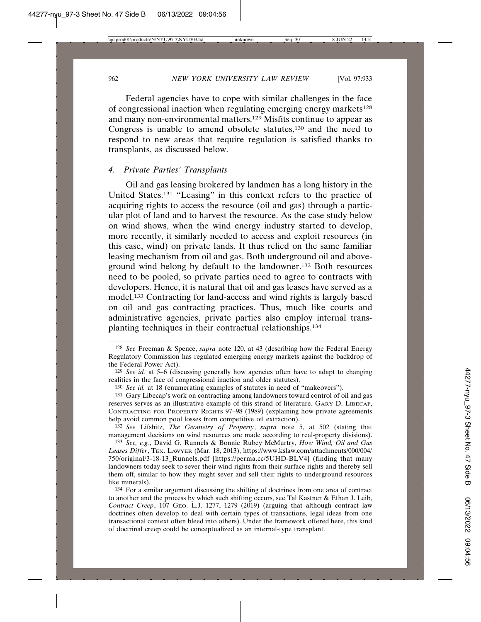Federal agencies have to cope with similar challenges in the face of congressional inaction when regulating emerging energy markets<sup>128</sup> and many non-environmental matters.129 Misfits continue to appear as Congress is unable to amend obsolete statutes,<sup>130</sup> and the need to respond to new areas that require regulation is satisfied thanks to transplants, as discussed below.

## *4. Private Parties' Transplants*

Oil and gas leasing brokered by landmen has a long history in the United States.131 "Leasing" in this context refers to the practice of acquiring rights to access the resource (oil and gas) through a particular plot of land and to harvest the resource. As the case study below on wind shows, when the wind energy industry started to develop, more recently, it similarly needed to access and exploit resources (in this case, wind) on private lands. It thus relied on the same familiar leasing mechanism from oil and gas. Both underground oil and aboveground wind belong by default to the landowner.132 Both resources need to be pooled, so private parties need to agree to contracts with developers. Hence, it is natural that oil and gas leases have served as a model.133 Contracting for land-access and wind rights is largely based on oil and gas contracting practices. Thus, much like courts and administrative agencies, private parties also employ internal transplanting techniques in their contractual relationships.134

130 *See id.* at 18 (enumerating examples of statutes in need of "makeovers").

131 Gary Libecap's work on contracting among landowners toward control of oil and gas reserves serves as an illustrative example of this strand of literature. GARY D. LIBECAP, CONTRACTING FOR PROPERTY RIGHTS 97–98 (1989) (explaining how private agreements help avoid common pool losses from competitive oil extraction).

132 *See* Lifshitz, *The Geometry of Property*, *supra* note 5, at 502 (stating that management decisions on wind resources are made according to real-property divisions).

133 *See, e.g.*, David G. Runnels & Bonnie Rubey McMurtry, *How Wind, Oil and Gas Leases Differ*, TEX. LAWYER (Mar. 18, 2013), https://www.kslaw.com/attachments/000/004/ 750/original/3-18-13\_Runnels.pdf [https://perma.cc/5UHD-BLV4] (finding that many landowners today seek to sever their wind rights from their surface rights and thereby sell them off, similar to how they might sever and sell their rights to underground resources like minerals).

134 For a similar argument discussing the shifting of doctrines from one area of contract to another and the process by which such shifting occurs, see Tal Kastner & Ethan J. Leib, *Contract Creep*, 107 GEO. L.J. 1277, 1279 (2019) (arguing that although contract law doctrines often develop to deal with certain types of transactions, legal ideas from one transactional context often bleed into others). Under the framework offered here, this kind of doctrinal creep could be conceptualized as an internal-type transplant.

<sup>128</sup> *See* Freeman & Spence, *supra* note 120, at 43 (describing how the Federal Energy Regulatory Commission has regulated emerging energy markets against the backdrop of the Federal Power Act).

<sup>129</sup> *See id.* at 5–6 (discussing generally how agencies often have to adapt to changing realities in the face of congressional inaction and older statutes).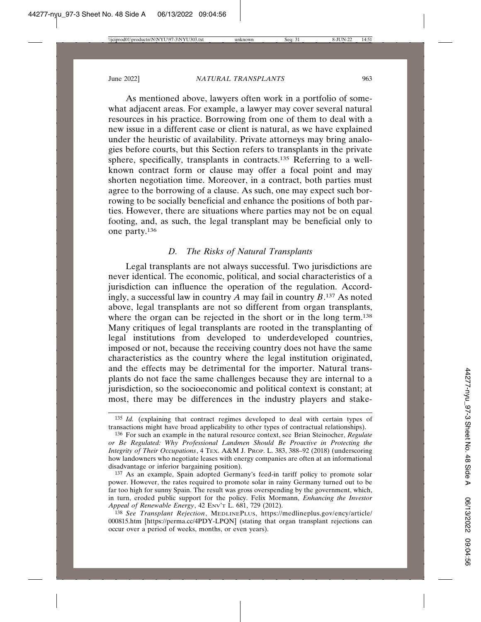As mentioned above, lawyers often work in a portfolio of somewhat adjacent areas. For example, a lawyer may cover several natural resources in his practice. Borrowing from one of them to deal with a new issue in a different case or client is natural, as we have explained under the heuristic of availability. Private attorneys may bring analogies before courts, but this Section refers to transplants in the private sphere, specifically, transplants in contracts.135 Referring to a wellknown contract form or clause may offer a focal point and may shorten negotiation time. Moreover, in a contract, both parties must agree to the borrowing of a clause. As such, one may expect such borrowing to be socially beneficial and enhance the positions of both parties. However, there are situations where parties may not be on equal footing, and, as such, the legal transplant may be beneficial only to one party.136

## *D. The Risks of Natural Transplants*

Legal transplants are not always successful. Two jurisdictions are never identical. The economic, political, and social characteristics of a jurisdiction can influence the operation of the regulation. Accordingly, a successful law in country *A* may fail in country *B*. 137 As noted above, legal transplants are not so different from organ transplants, where the organ can be rejected in the short or in the long term.<sup>138</sup> Many critiques of legal transplants are rooted in the transplanting of legal institutions from developed to underdeveloped countries, imposed or not, because the receiving country does not have the same characteristics as the country where the legal institution originated, and the effects may be detrimental for the importer. Natural transplants do not face the same challenges because they are internal to a jurisdiction, so the socioeconomic and political context is constant; at most, there may be differences in the industry players and stake-

<sup>135</sup> *Id.* (explaining that contract regimes developed to deal with certain types of transactions might have broad applicability to other types of contractual relationships).

<sup>136</sup> For such an example in the natural resource context, see Brian Steinocher, *Regulate or Be Regulated: Why Professional Landmen Should Be Proactive in Protecting the Integrity of Their Occupations*, 4 TEX. A&M J. PROP. L. 383, 388–92 (2018) (underscoring how landowners who negotiate leases with energy companies are often at an informational disadvantage or inferior bargaining position).

<sup>137</sup> As an example, Spain adopted Germany's feed-in tariff policy to promote solar power. However, the rates required to promote solar in rainy Germany turned out to be far too high for sunny Spain. The result was gross overspending by the government, which, in turn, eroded public support for the policy. Felix Mormann, *Enhancing the Investor Appeal of Renewable Energy*, 42 ENV'T L. 681, 729 (2012).

<sup>138</sup> *See Transplant Rejection*, MEDLINEPLUS, https://medlineplus.gov/ency/article/ 000815.htm [https://perma.cc/4PDY-LPQN] (stating that organ transplant rejections can occur over a period of weeks, months, or even years).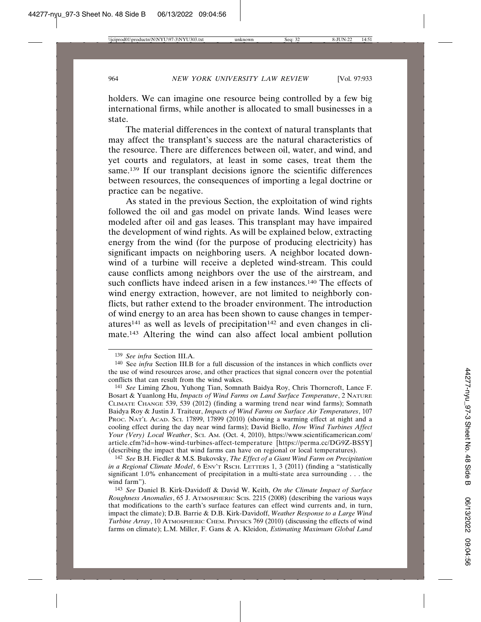holders. We can imagine one resource being controlled by a few big international firms, while another is allocated to small businesses in a state.

The material differences in the context of natural transplants that may affect the transplant's success are the natural characteristics of the resource. There are differences between oil, water, and wind, and yet courts and regulators, at least in some cases, treat them the same.<sup>139</sup> If our transplant decisions ignore the scientific differences between resources, the consequences of importing a legal doctrine or practice can be negative.

As stated in the previous Section, the exploitation of wind rights followed the oil and gas model on private lands. Wind leases were modeled after oil and gas leases. This transplant may have impaired the development of wind rights. As will be explained below, extracting energy from the wind (for the purpose of producing electricity) has significant impacts on neighboring users. A neighbor located downwind of a turbine will receive a depleted wind-stream. This could cause conflicts among neighbors over the use of the airstream, and such conflicts have indeed arisen in a few instances.<sup>140</sup> The effects of wind energy extraction, however, are not limited to neighborly conflicts, but rather extend to the broader environment. The introduction of wind energy to an area has been shown to cause changes in temper $atures<sup>141</sup>$  as well as levels of precipitation<sup>142</sup> and even changes in climate.143 Altering the wind can also affect local ambient pollution

<sup>139</sup> *See infra* Section III.A.

<sup>140</sup> See *infra* Section III.B for a full discussion of the instances in which conflicts over the use of wind resources arose, and other practices that signal concern over the potential conflicts that can result from the wind wakes.

<sup>141</sup> *See* Liming Zhou, Yuhong Tian, Somnath Baidya Roy, Chris Thorncroft, Lance F. Bosart & Yuanlong Hu, *Impacts of Wind Farms on Land Surface Temperature*, 2 NATURE CLIMATE CHANGE 539, 539 (2012) (finding a warming trend near wind farms); Somnath Baidya Roy & Justin J. Traiteur, *Impacts of Wind Farms on Surface Air Temperatures*, 107 PROC. NAT'L ACAD. SCI. 17899, 17899 (2010) (showing a warming effect at night and a cooling effect during the day near wind farms); David Biello, *How Wind Turbines Affect Your (Very) Local Weather*, SCI. AM. (Oct. 4, 2010), https://www.scientificamerican.com/ article.cfm?id=how-wind-turbines-affect-temperature [https://perma.cc/DG9Z-BS5Y] (describing the impact that wind farms can have on regional or local temperatures).

<sup>142</sup> *See* B.H. Fiedler & M.S. Bukovsky, *The Effect of a Giant Wind Farm on Precipitation in a Regional Climate Model*, 6 ENV'T RSCH. LETTERS 1, 3 (2011) (finding a "statistically significant 1.0% enhancement of precipitation in a multi-state area surrounding . . . the wind farm").

<sup>143</sup> *See* Daniel B. Kirk-Davidoff & David W. Keith, *On the Climate Impact of Surface Roughness Anomalies*, 65 J. ATMOSPHERIC SCIS. 2215 (2008) (describing the various ways that modifications to the earth's surface features can effect wind currents and, in turn, impact the climate); D.B. Barrie & D.B. Kirk-Davidoff, *Weather Response to a Large Wind Turbine Array*, 10 ATMOSPHERIC CHEM. PHYSICS 769 (2010) (discussing the effects of wind farms on climate); L.M. Miller, F. Gans & A. Kleidon, *Estimating Maximum Global Land*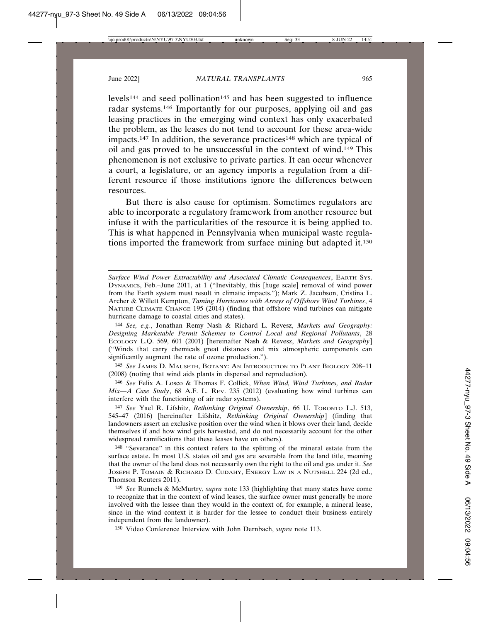levels<sup>144</sup> and seed pollination<sup>145</sup> and has been suggested to influence radar systems.146 Importantly for our purposes, applying oil and gas leasing practices in the emerging wind context has only exacerbated the problem, as the leases do not tend to account for these area-wide impacts.<sup>147</sup> In addition, the severance practices<sup>148</sup> which are typical of oil and gas proved to be unsuccessful in the context of wind.149 This phenomenon is not exclusive to private parties. It can occur whenever a court, a legislature, or an agency imports a regulation from a different resource if those institutions ignore the differences between resources.

But there is also cause for optimism. Sometimes regulators are able to incorporate a regulatory framework from another resource but infuse it with the particularities of the resource it is being applied to. This is what happened in Pennsylvania when municipal waste regulations imported the framework from surface mining but adapted it.150

144 *See, e.g.*, Jonathan Remy Nash & Richard L. Revesz, *Markets and Geography: Designing Marketable Permit Schemes to Control Local and Regional Pollutants*, 28 ECOLOGY L.Q. 569, 601 (2001) [hereinafter Nash & Revesz, *Markets and Geography*] ("Winds that carry chemicals great distances and mix atmospheric components can significantly augment the rate of ozone production.").

145 *See* JAMES D. MAUSETH, BOTANY: AN INTRODUCTION TO PLANT BIOLOGY 208–11 (2008) (noting that wind aids plants in dispersal and reproduction).

146 *See* Felix A. Losco & Thomas F. Collick, *When Wind, Wind Turbines, and Radar Mix—A Case Study*, 68 A.F. L. REV. 235 (2012) (evaluating how wind turbines can interfere with the functioning of air radar systems).

147 *See* Yael R. Lifshitz, *Rethinking Original Ownership*, 66 U. TORONTO L.J. 513, 545–47 (2016) [hereinafter Lifshitz, *Rethinking Original Ownership*] (finding that landowners assert an exclusive position over the wind when it blows over their land, decide themselves if and how wind gets harvested, and do not necessarily account for the other widespread ramifications that these leases have on others).

148 "Severance" in this context refers to the splitting of the mineral estate from the surface estate. In most U.S. states oil and gas are severable from the land title, meaning that the owner of the land does not necessarily own the right to the oil and gas under it. *See* JOSEPH P. TOMAIN & RICHARD D. CUDAHY, ENERGY LAW IN A NUTSHELL 224 (2d ed., Thomson Reuters 2011).

149 *See* Runnels & McMurtry, *supra* note 133 (highlighting that many states have come to recognize that in the context of wind leases, the surface owner must generally be more involved with the lessee than they would in the context of, for example, a mineral lease, since in the wind context it is harder for the lessee to conduct their business entirely independent from the landowner).

150 Video Conference Interview with John Dernbach, *supra* note 113.

*Surface Wind Power Extractability and Associated Climatic Consequences*, EARTH SYS. DYNAMICS, Feb.–June 2011, at 1 ("Inevitably, this [huge scale] removal of wind power from the Earth system must result in climatic impacts."); Mark Z. Jacobson, Cristina L. Archer & Willett Kempton, *Taming Hurricanes with Arrays of Offshore Wind Turbines*, 4 NATURE CLIMATE CHANGE 195 (2014) (finding that offshore wind turbines can mitigate hurricane damage to coastal cities and states).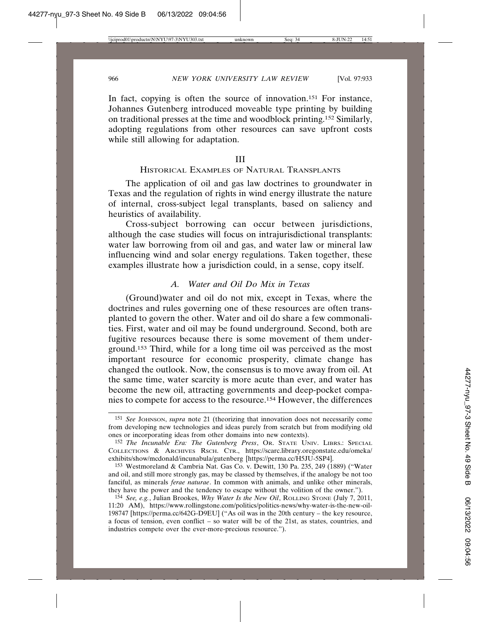In fact, copying is often the source of innovation.<sup>151</sup> For instance, Johannes Gutenberg introduced moveable type printing by building on traditional presses at the time and woodblock printing.152 Similarly, adopting regulations from other resources can save upfront costs while still allowing for adaptation.

#### III

#### HISTORICAL EXAMPLES OF NATURAL TRANSPLANTS

The application of oil and gas law doctrines to groundwater in Texas and the regulation of rights in wind energy illustrate the nature of internal, cross-subject legal transplants, based on saliency and heuristics of availability.

Cross-subject borrowing can occur between jurisdictions, although the case studies will focus on intrajurisdictional transplants: water law borrowing from oil and gas, and water law or mineral law influencing wind and solar energy regulations. Taken together, these examples illustrate how a jurisdiction could, in a sense, copy itself.

## *A. Water and Oil Do Mix in Texas*

(Ground)water and oil do not mix, except in Texas, where the doctrines and rules governing one of these resources are often transplanted to govern the other. Water and oil do share a few commonalities. First, water and oil may be found underground. Second, both are fugitive resources because there is some movement of them underground.153 Third, while for a long time oil was perceived as the most important resource for economic prosperity, climate change has changed the outlook. Now, the consensus is to move away from oil. At the same time, water scarcity is more acute than ever, and water has become the new oil, attracting governments and deep-pocket companies to compete for access to the resource.154 However, the differences

<sup>151</sup> *See* JOHNSON, *supra* note 21 (theorizing that innovation does not necessarily come from developing new technologies and ideas purely from scratch but from modifying old ones or incorporating ideas from other domains into new contexts).

<sup>152</sup> *The Incunable Era: The Gutenberg Press*, OR. STATE UNIV. LIBRS.: SPECIAL COLLECTIONS & ARCHIVES RSCH. CTR., https://scarc.library.oregonstate.edu/omeka/ exhibits/show/mcdonald/incunabula/gutenberg [https://perma.cc/H5JU-5SP4].

<sup>153</sup> Westmoreland & Cambria Nat. Gas Co. v. Dewitt, 130 Pa. 235, 249 (1889) ("Water and oil, and still more strongly gas, may be classed by themselves, if the analogy be not too fanciful, as minerals *ferae naturae*. In common with animals, and unlike other minerals, they have the power and the tendency to escape without the volition of the owner.").

<sup>154</sup> *See, e.g.*, Julian Brookes, *Why Water Is the New Oil*, ROLLING STONE (July 7, 2011, 11:20 AM), https://www.rollingstone.com/politics/politics-news/why-water-is-the-new-oil-198747 [https://perma.cc/642G-D9EU] ("As oil was in the 20th century – the key resource, a focus of tension, even conflict – so water will be of the 21st, as states, countries, and industries compete over the ever-more-precious resource.").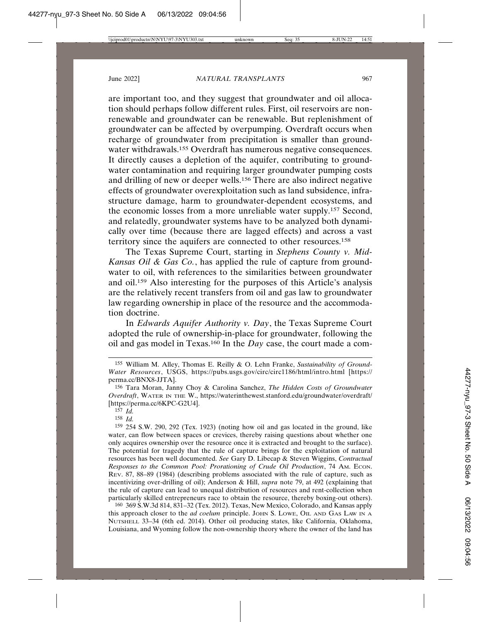are important too, and they suggest that groundwater and oil allocation should perhaps follow different rules. First, oil reservoirs are nonrenewable and groundwater can be renewable. But replenishment of groundwater can be affected by overpumping. Overdraft occurs when recharge of groundwater from precipitation is smaller than groundwater withdrawals.<sup>155</sup> Overdraft has numerous negative consequences. It directly causes a depletion of the aquifer, contributing to groundwater contamination and requiring larger groundwater pumping costs and drilling of new or deeper wells.156 There are also indirect negative effects of groundwater overexploitation such as land subsidence, infrastructure damage, harm to groundwater-dependent ecosystems, and the economic losses from a more unreliable water supply.157 Second, and relatedly, groundwater systems have to be analyzed both dynamically over time (because there are lagged effects) and across a vast territory since the aquifers are connected to other resources.158

The Texas Supreme Court, starting in *Stephens County v. Mid-Kansas Oil & Gas Co.*, has applied the rule of capture from groundwater to oil, with references to the similarities between groundwater and oil.159 Also interesting for the purposes of this Article's analysis are the relatively recent transfers from oil and gas law to groundwater law regarding ownership in place of the resource and the accommodation doctrine.

In *Edwards Aquifer Authority v. Day*, the Texas Supreme Court adopted the rule of ownership-in-place for groundwater, following the oil and gas model in Texas.160 In the *Day* case, the court made a com-

160 369 S.W.3d 814, 831–32 (Tex. 2012). Texas, New Mexico, Colorado, and Kansas apply this approach closer to the *ad coelum* principle. JOHN S. LOWE, OIL AND GAS LAW IN A NUTSHELL 33–34 (6th ed. 2014). Other oil producing states, like California, Oklahoma, Louisiana, and Wyoming follow the non-ownership theory where the owner of the land has

<sup>155</sup> William M. Alley, Thomas E. Reilly & O. Lehn Franke, *Sustainability of Ground-Water Resources*, USGS, https://pubs.usgs.gov/circ/circ1186/html/intro.html [https:// perma.cc/BNX8-JJTA].

<sup>156</sup> Tara Moran, Janny Choy & Carolina Sanchez, *The Hidden Costs of Groundwater Overdraft*, WATER IN THE W., https://waterinthewest.stanford.edu/groundwater/overdraft/ [https://perma.cc/6KPC-G2U4].

 $157 \; I_d$ 

<sup>158</sup> *Id.*

<sup>159</sup> 254 S.W. 290, 292 (Tex. 1923) (noting how oil and gas located in the ground, like water, can flow between spaces or crevices, thereby raising questions about whether one only acquires ownership over the resource once it is extracted and brought to the surface). The potential for tragedy that the rule of capture brings for the exploitation of natural resources has been well documented. *See* Gary D. Libecap & Steven Wiggins, *Contractual Responses to the Common Pool: Prorationing of Crude Oil Production*, 74 AM. ECON. REV. 87, 88–89 (1984) (describing problems associated with the rule of capture, such as incentivizing over-drilling of oil); Anderson & Hill, *supra* note 79, at 492 (explaining that the rule of capture can lead to unequal distribution of resources and rent-collection when particularly skilled entrepreneurs race to obtain the resource, thereby boxing-out others).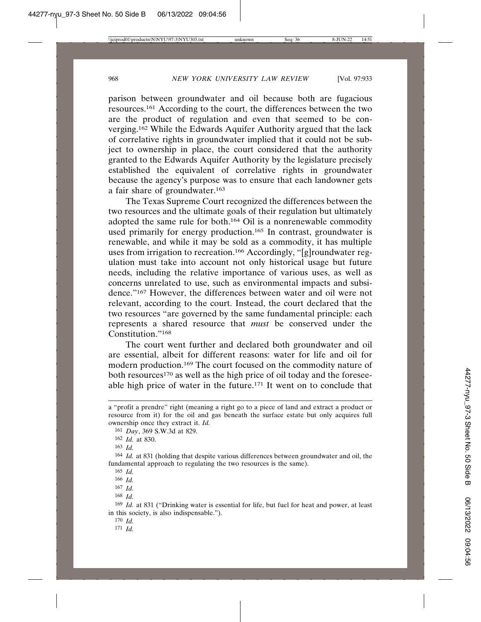parison between groundwater and oil because both are fugacious resources.161 According to the court, the differences between the two are the product of regulation and even that seemed to be converging.162 While the Edwards Aquifer Authority argued that the lack of correlative rights in groundwater implied that it could not be subject to ownership in place, the court considered that the authority granted to the Edwards Aquifer Authority by the legislature precisely established the equivalent of correlative rights in groundwater because the agency's purpose was to ensure that each landowner gets a fair share of groundwater.163

The Texas Supreme Court recognized the differences between the two resources and the ultimate goals of their regulation but ultimately adopted the same rule for both.164 Oil is a nonrenewable commodity used primarily for energy production.<sup>165</sup> In contrast, groundwater is renewable, and while it may be sold as a commodity, it has multiple uses from irrigation to recreation.166 Accordingly, "[g]roundwater regulation must take into account not only historical usage but future needs, including the relative importance of various uses, as well as concerns unrelated to use, such as environmental impacts and subsidence."167 However, the differences between water and oil were not relevant, according to the court. Instead, the court declared that the two resources "are governed by the same fundamental principle: each represents a shared resource that *must* be conserved under the Constitution."168

The court went further and declared both groundwater and oil are essential, albeit for different reasons: water for life and oil for modern production.169 The court focused on the commodity nature of both resources<sup>170</sup> as well as the high price of oil today and the foreseeable high price of water in the future.<sup>171</sup> It went on to conclude that

165 *Id.*

a "profit a prendre" right (meaning a right go to a piece of land and extract a product or resource from it) for the oil and gas beneath the surface estate but only acquires full ownership once they extract it. *Id.*

<sup>161</sup> *Day*, 369 S.W.3d at 829.

<sup>162</sup> *Id.* at 830.

<sup>163</sup> *Id.*

<sup>164</sup> *Id.* at 831 (holding that despite various differences between groundwater and oil, the fundamental approach to regulating the two resources is the same).

<sup>166</sup> *Id.*

<sup>167</sup> *Id.*

<sup>168</sup> *Id.*

<sup>169</sup> *Id.* at 831 ("Drinking water is essential for life, but fuel for heat and power, at least in this society, is also indispensable.").

<sup>170</sup> *Id.*

<sup>171</sup> *Id.*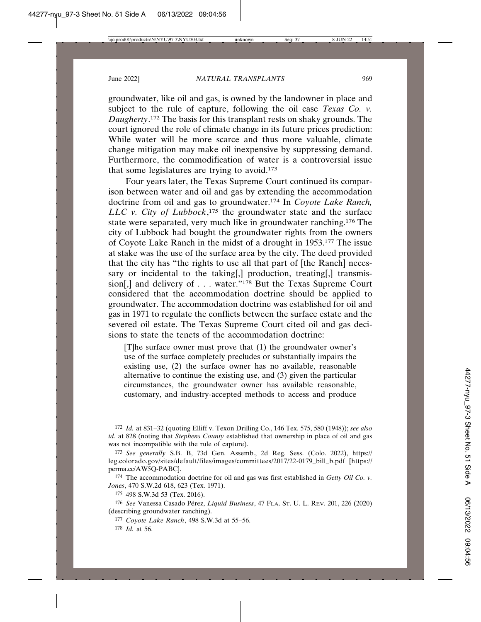groundwater, like oil and gas, is owned by the landowner in place and subject to the rule of capture, following the oil case *Texas Co. v. Daugherty*. 172 The basis for this transplant rests on shaky grounds. The court ignored the role of climate change in its future prices prediction: While water will be more scarce and thus more valuable, climate change mitigation may make oil inexpensive by suppressing demand. Furthermore, the commodification of water is a controversial issue that some legislatures are trying to avoid.173

Four years later, the Texas Supreme Court continued its comparison between water and oil and gas by extending the accommodation doctrine from oil and gas to groundwater.174 In *Coyote Lake Ranch, LLC v. City of Lubbock*, 175 the groundwater state and the surface state were separated, very much like in groundwater ranching.176 The city of Lubbock had bought the groundwater rights from the owners of Coyote Lake Ranch in the midst of a drought in 1953.177 The issue at stake was the use of the surface area by the city. The deed provided that the city has "the rights to use all that part of [the Ranch] necessary or incidental to the taking[,] production, treating[,] transmission[,] and delivery of . . . water."178 But the Texas Supreme Court considered that the accommodation doctrine should be applied to groundwater. The accommodation doctrine was established for oil and gas in 1971 to regulate the conflicts between the surface estate and the severed oil estate. The Texas Supreme Court cited oil and gas decisions to state the tenets of the accommodation doctrine:

[T]he surface owner must prove that (1) the groundwater owner's use of the surface completely precludes or substantially impairs the existing use, (2) the surface owner has no available, reasonable alternative to continue the existing use, and (3) given the particular circumstances, the groundwater owner has available reasonable, customary, and industry-accepted methods to access and produce

<sup>172</sup> *Id.* at 831–32 (quoting Elliff v. Texon Drilling Co., 146 Tex. 575, 580 (1948)); *see also id.* at 828 (noting that *Stephens County* established that ownership in place of oil and gas was not incompatible with the rule of capture).

<sup>173</sup> *See generally* S.B. B, 73d Gen. Assemb., 2d Reg. Sess. (Colo. 2022), https:// leg.colorado.gov/sites/default/files/images/committees/2017/22-0179\_bill\_b.pdf [https:// perma.cc/AW5Q-PABC].

<sup>174</sup> The accommodation doctrine for oil and gas was first established in *Getty Oil Co. v. Jones*, 470 S.W.2d 618, 623 (Tex. 1971).

<sup>175</sup> 498 S.W.3d 53 (Tex. 2016).

<sup>176</sup> *See* Vanessa Casado Pérez, *Liquid Business*, 47 FLA. St. U. L. REV. 201, 226 (2020) (describing groundwater ranching).

<sup>177</sup> *Coyote Lake Ranch*, 498 S.W.3d at 55–56.

<sup>178</sup> *Id.* at 56.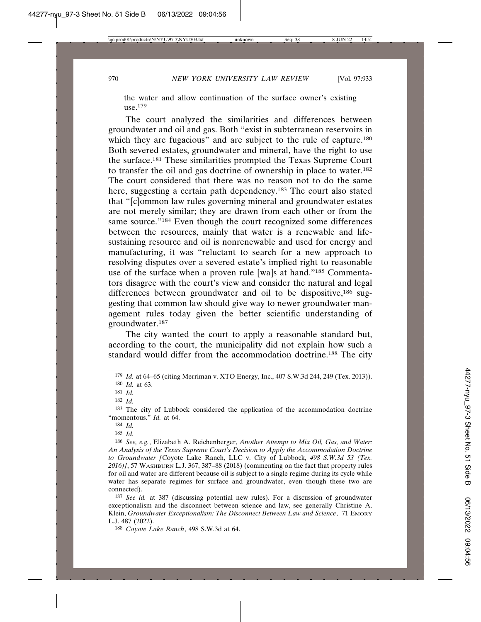the water and allow continuation of the surface owner's existing use.179

The court analyzed the similarities and differences between groundwater and oil and gas. Both "exist in subterranean reservoirs in which they are fugacious" and are subject to the rule of capture.<sup>180</sup> Both severed estates, groundwater and mineral, have the right to use the surface.181 These similarities prompted the Texas Supreme Court to transfer the oil and gas doctrine of ownership in place to water.182 The court considered that there was no reason not to do the same here, suggesting a certain path dependency.<sup>183</sup> The court also stated that "[c]ommon law rules governing mineral and groundwater estates are not merely similar; they are drawn from each other or from the same source."<sup>184</sup> Even though the court recognized some differences between the resources, mainly that water is a renewable and lifesustaining resource and oil is nonrenewable and used for energy and manufacturing, it was "reluctant to search for a new approach to resolving disputes over a severed estate's implied right to reasonable use of the surface when a proven rule [wa]s at hand."185 Commentators disagree with the court's view and consider the natural and legal differences between groundwater and oil to be dispositive,<sup>186</sup> suggesting that common law should give way to newer groundwater management rules today given the better scientific understanding of groundwater.187

The city wanted the court to apply a reasonable standard but, according to the court, the municipality did not explain how such a standard would differ from the accommodation doctrine.188 The city

<sup>179</sup> *Id.* at 64–65 (citing Merriman v. XTO Energy, Inc., 407 S.W.3d 244, 249 (Tex. 2013)). 180 *Id.* at 63.

<sup>181</sup> *Id.*

<sup>182</sup> *Id.*

<sup>183</sup> The city of Lubbock considered the application of the accommodation doctrine "momentous." *Id.* at 64.

<sup>184</sup> *Id.*

<sup>185</sup> *Id.*

<sup>186</sup> *See, e.g.*, Elizabeth A. Reichenberger, *Another Attempt to Mix Oil, Gas, and Water: An Analysis of the Texas Supreme Court's Decision to Apply the Accommodation Doctrine to Groundwater [*Coyote Lake Ranch, LLC v. City of Lubbock*, 498 S.W.3d 53 (Tex. 2016)]*, 57 WASHBURN L.J. 367, 387–88 (2018) (commenting on the fact that property rules for oil and water are different because oil is subject to a single regime during its cycle while water has separate regimes for surface and groundwater, even though these two are connected).

<sup>187</sup> *See id.* at 387 (discussing potential new rules). For a discussion of groundwater exceptionalism and the disconnect between science and law, see generally Christine A. Klein, *Groundwater Exceptionalism: The Disconnect Between Law and Science*, 71 EMORY L.J. 487 (2022).

<sup>188</sup> *Coyote Lake Ranch*, 498 S.W.3d at 64.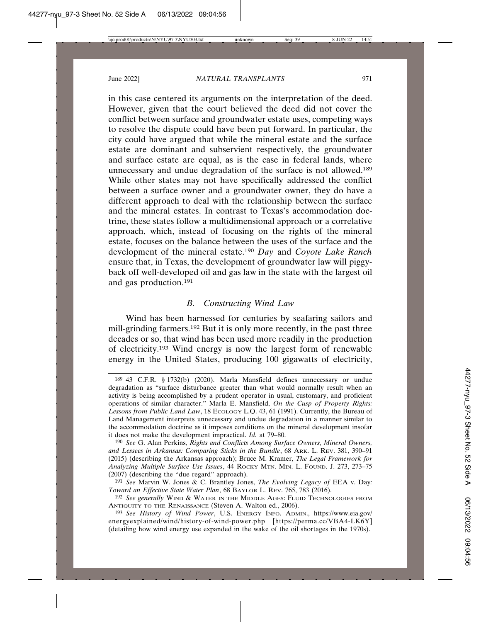in this case centered its arguments on the interpretation of the deed. However, given that the court believed the deed did not cover the conflict between surface and groundwater estate uses, competing ways to resolve the dispute could have been put forward. In particular, the city could have argued that while the mineral estate and the surface estate are dominant and subservient respectively, the groundwater and surface estate are equal, as is the case in federal lands, where unnecessary and undue degradation of the surface is not allowed.189 While other states may not have specifically addressed the conflict between a surface owner and a groundwater owner, they do have a different approach to deal with the relationship between the surface and the mineral estates. In contrast to Texas's accommodation doctrine, these states follow a multidimensional approach or a correlative approach, which, instead of focusing on the rights of the mineral estate, focuses on the balance between the uses of the surface and the development of the mineral estate.190 *Day* and *Coyote Lake Ranch* ensure that, in Texas, the development of groundwater law will piggyback off well-developed oil and gas law in the state with the largest oil and gas production.191

## *B. Constructing Wind Law*

Wind has been harnessed for centuries by seafaring sailors and mill-grinding farmers.<sup>192</sup> But it is only more recently, in the past three decades or so, that wind has been used more readily in the production of electricity.193 Wind energy is now the largest form of renewable energy in the United States, producing 100 gigawatts of electricity,

<sup>189</sup> 43 C.F.R. § 1732(b) (2020). Marla Mansfield defines unnecessary or undue degradation as "surface disturbance greater than what would normally result when an activity is being accomplished by a prudent operator in usual, customary, and proficient operations of similar character." Marla E. Mansfield, *On the Cusp of Property Rights: Lessons from Public Land Law*, 18 ECOLOGY L.Q. 43, 61 (1991). Currently, the Bureau of Land Management interprets unnecessary and undue degradation in a manner similar to the accommodation doctrine as it imposes conditions on the mineral development insofar it does not make the development impractical. *Id.* at 79–80.

<sup>190</sup> *See* G. Alan Perkins, *Rights and Conflicts Among Surface Owners, Mineral Owners, and Lessees in Arkansas: Comparing Sticks in the Bundle*, 68 ARK. L. REV. 381, 390–91 (2015) (describing the Arkansas approach); Bruce M. Kramer, *The Legal Framework for Analyzing Multiple Surface Use Issues*, 44 ROCKY MTN. MIN. L. FOUND. J. 273, 273–75 (2007) (describing the "due regard" approach).

<sup>191</sup> *See* Marvin W. Jones & C. Brantley Jones, *The Evolving Legacy of* EEA v. Day*: Toward an Effective State Water Plan*, 68 BAYLOR L. REV. 765, 783 (2016).

<sup>192</sup> *See generally* WIND & WATER IN THE MIDDLE AGES: FLUID TECHNOLOGIES FROM ANTIQUITY TO THE RENAISSANCE (Steven A. Walton ed., 2006).

<sup>193</sup> *See History of Wind Power*, U.S. ENERGY INFO. ADMIN., https://www.eia.gov/ energyexplained/wind/history-of-wind-power.php [https://perma.cc/VBA4-LK6Y] (detailing how wind energy use expanded in the wake of the oil shortages in the 1970s).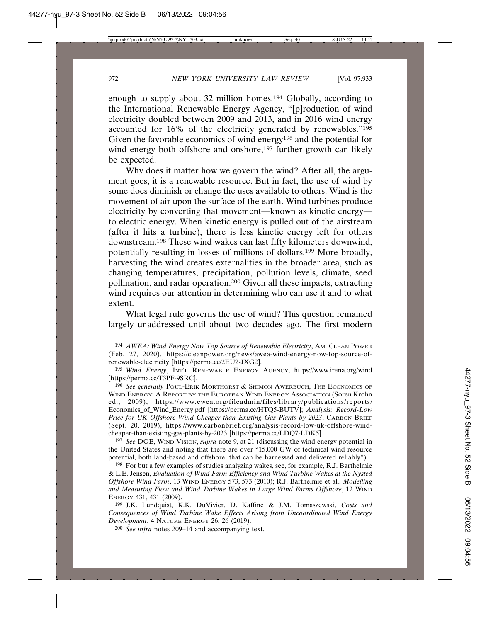enough to supply about 32 million homes.194 Globally, according to the International Renewable Energy Agency, "[p]roduction of wind electricity doubled between 2009 and 2013, and in 2016 wind energy accounted for 16% of the electricity generated by renewables."195 Given the favorable economics of wind energy196 and the potential for wind energy both offshore and onshore,<sup>197</sup> further growth can likely be expected.

Why does it matter how we govern the wind? After all, the argument goes, it is a renewable resource. But in fact, the use of wind by some does diminish or change the uses available to others. Wind is the movement of air upon the surface of the earth. Wind turbines produce electricity by converting that movement—known as kinetic energy to electric energy. When kinetic energy is pulled out of the airstream (after it hits a turbine), there is less kinetic energy left for others downstream.198 These wind wakes can last fifty kilometers downwind, potentially resulting in losses of millions of dollars.199 More broadly, harvesting the wind creates externalities in the broader area, such as changing temperatures, precipitation, pollution levels, climate, seed pollination, and radar operation.200 Given all these impacts, extracting wind requires our attention in determining who can use it and to what extent.

What legal rule governs the use of wind? This question remained largely unaddressed until about two decades ago. The first modern

<sup>194</sup> *AWEA: Wind Energy Now Top Source of Renewable Electricity*, AM. CLEAN POWER (Feb. 27, 2020), https://cleanpower.org/news/awea-wind-energy-now-top-source-ofrenewable-electricity [https://perma.cc/2EU2-JXG2].

<sup>195</sup> *Wind Energy*, INT'L RENEWABLE ENERGY AGENCY, https://www.irena.org/wind [https://perma.cc/T3PF-9SRC].

<sup>196</sup> *See generally* POUL-ERIK MORTHORST & SHIMON AWERBUCH, THE ECONOMICS OF WIND ENERGY: A REPORT BY THE EUROPEAN WIND ENERGY ASSOCIATION (Soren Krohn ed., 2009), https://www.ewea.org/fileadmin/files/library/publications/reports/ Economics\_of\_Wind\_Energy.pdf [https://perma.cc/HTQ5-BUTV]; *Analysis: Record-Low Price for UK Offshore Wind Cheaper than Existing Gas Plants by 2023*, CARBON BRIEF (Sept. 20, 2019), https://www.carbonbrief.org/analysis-record-low-uk-offshore-windcheaper-than-existing-gas-plants-by-2023 [https://perma.cc/LDQ7-LDK5].

<sup>197</sup> *See* DOE, WIND VISION, *supra* note 9, at 21 (discussing the wind energy potential in the United States and noting that there are over "15,000 GW of technical wind resource potential, both land-based and offshore, that can be harnessed and delivered reliably").

<sup>198</sup> For but a few examples of studies analyzing wakes, see, for example, R.J. Barthelmie & L.E. Jensen, *Evaluation of Wind Farm Efficiency and Wind Turbine Wakes at the Nysted Offshore Wind Farm*, 13 WIND ENERGY 573, 573 (2010); R.J. Barthelmie et al., *Modelling and Measuring Flow and Wind Turbine Wakes in Large Wind Farms Offshore*, 12 WIND ENERGY 431, 431 (2009).

<sup>199</sup> J.K. Lundquist, K.K. DuVivier, D. Kaffine & J.M. Tomaszewski, *Costs and Consequences of Wind Turbine Wake Effects Arising from Uncoordinated Wind Energy Development*, 4 NATURE ENERGY 26, 26 (2019).

<sup>200</sup> *See infra* notes 209–14 and accompanying text.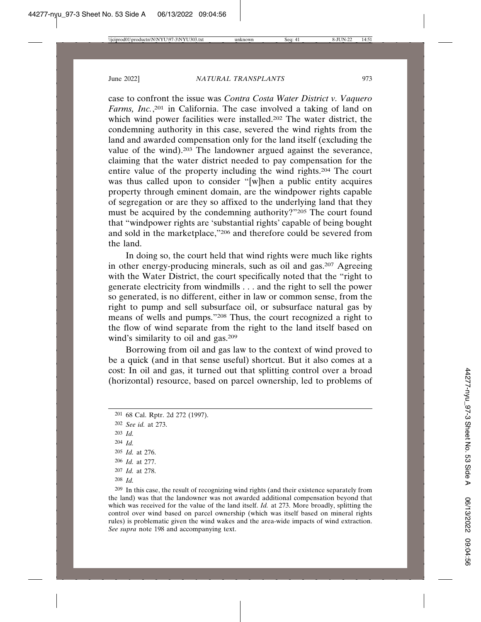case to confront the issue was *Contra Costa Water District v. Vaquero Farms, Inc.*, <sup>201</sup> in California. The case involved a taking of land on which wind power facilities were installed.<sup>202</sup> The water district, the condemning authority in this case, severed the wind rights from the land and awarded compensation only for the land itself (excluding the value of the wind).203 The landowner argued against the severance, claiming that the water district needed to pay compensation for the entire value of the property including the wind rights.204 The court was thus called upon to consider "[w]hen a public entity acquires property through eminent domain, are the windpower rights capable of segregation or are they so affixed to the underlying land that they must be acquired by the condemning authority?"205 The court found that "windpower rights are 'substantial rights' capable of being bought and sold in the marketplace,"206 and therefore could be severed from the land.

In doing so, the court held that wind rights were much like rights in other energy-producing minerals, such as oil and gas.207 Agreeing with the Water District, the court specifically noted that the "right to generate electricity from windmills . . . and the right to sell the power so generated, is no different, either in law or common sense, from the right to pump and sell subsurface oil, or subsurface natural gas by means of wells and pumps."208 Thus, the court recognized a right to the flow of wind separate from the right to the land itself based on wind's similarity to oil and gas.<sup>209</sup>

Borrowing from oil and gas law to the context of wind proved to be a quick (and in that sense useful) shortcut. But it also comes at a cost: In oil and gas, it turned out that splitting control over a broad (horizontal) resource, based on parcel ownership, led to problems of

203 *Id.*

- 205 *Id.* at 276.
- 206 *Id.* at 277.
- 207 *Id.* at 278.
- 208 *Id.*

209 In this case, the result of recognizing wind rights (and their existence separately from the land) was that the landowner was not awarded additional compensation beyond that which was received for the value of the land itself. *Id.* at 273. More broadly, splitting the control over wind based on parcel ownership (which was itself based on mineral rights rules) is problematic given the wind wakes and the area-wide impacts of wind extraction. *See supra* note 198 and accompanying text.

<sup>201</sup> 68 Cal. Rptr. 2d 272 (1997).

<sup>202</sup> *See id.* at 273.

<sup>204</sup> *Id.*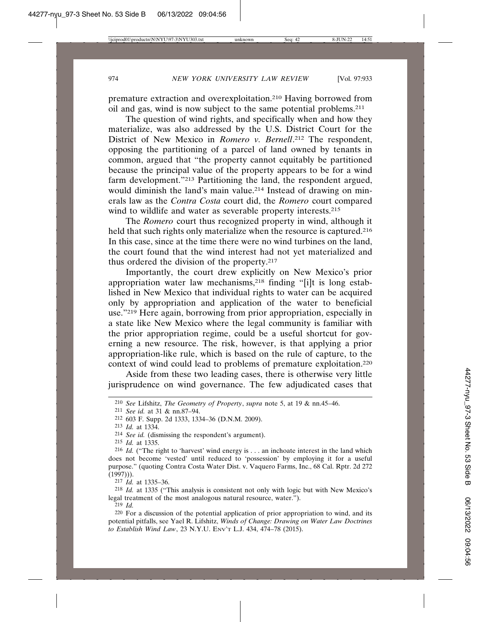premature extraction and overexploitation.210 Having borrowed from oil and gas, wind is now subject to the same potential problems.211

The question of wind rights, and specifically when and how they materialize, was also addressed by the U.S. District Court for the District of New Mexico in *Romero v. Bernell*. 212 The respondent, opposing the partitioning of a parcel of land owned by tenants in common, argued that "the property cannot equitably be partitioned because the principal value of the property appears to be for a wind farm development."213 Partitioning the land, the respondent argued, would diminish the land's main value.<sup>214</sup> Instead of drawing on minerals law as the *Contra Costa* court did, the *Romero* court compared wind to wildlife and water as severable property interests.<sup>215</sup>

The *Romero* court thus recognized property in wind, although it held that such rights only materialize when the resource is captured.<sup>216</sup> In this case, since at the time there were no wind turbines on the land, the court found that the wind interest had not yet materialized and thus ordered the division of the property.217

Importantly, the court drew explicitly on New Mexico's prior appropriation water law mechanisms,218 finding "[i]t is long established in New Mexico that individual rights to water can be acquired only by appropriation and application of the water to beneficial use."219 Here again, borrowing from prior appropriation, especially in a state like New Mexico where the legal community is familiar with the prior appropriation regime, could be a useful shortcut for governing a new resource. The risk, however, is that applying a prior appropriation-like rule, which is based on the rule of capture, to the context of wind could lead to problems of premature exploitation.220

Aside from these two leading cases, there is otherwise very little jurisprudence on wind governance. The few adjudicated cases that

215 *Id.* at 1335.

217 *Id.* at 1335–36.

218 *Id.* at 1335 ("This analysis is consistent not only with logic but with New Mexico's legal treatment of the most analogous natural resource, water.").

219 *Id.*

<sup>210</sup> *See* Lifshitz, *The Geometry of Property*, *supra* note 5, at 19 & nn.45–46.

<sup>211</sup> *See id.* at 31 & nn.87–94.

<sup>212</sup> 603 F. Supp. 2d 1333, 1334–36 (D.N.M. 2009).

<sup>213</sup> *Id.* at 1334.

<sup>214</sup> *See id.* (dismissing the respondent's argument).

<sup>216</sup> *Id.* ("The right to 'harvest' wind energy is . . . an inchoate interest in the land which does not become 'vested' until reduced to 'possession' by employing it for a useful purpose." (quoting Contra Costa Water Dist. v. Vaquero Farms, Inc., 68 Cal. Rptr. 2d 272  $(1997))$ .

<sup>220</sup> For a discussion of the potential application of prior appropriation to wind, and its potential pitfalls, see Yael R. Lifshitz, *Winds of Change: Drawing on Water Law Doctrines to Establish Wind Law*, 23 N.Y.U. ENV'T L.J. 434, 474–78 (2015).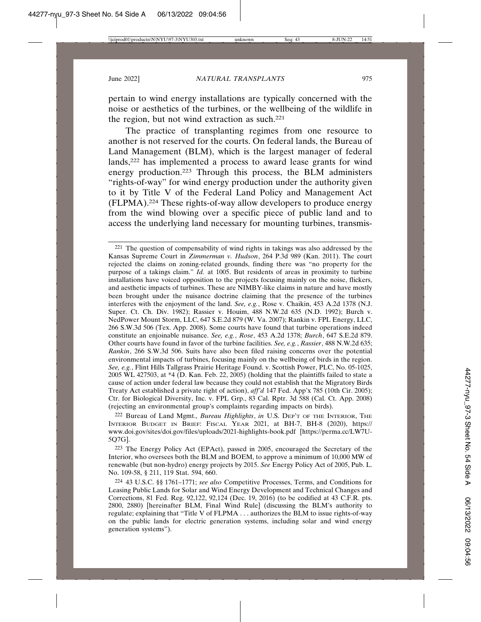pertain to wind energy installations are typically concerned with the noise or aesthetics of the turbines, or the wellbeing of the wildlife in the region, but not wind extraction as such.221

The practice of transplanting regimes from one resource to another is not reserved for the courts. On federal lands, the Bureau of Land Management (BLM), which is the largest manager of federal lands,222 has implemented a process to award lease grants for wind energy production.223 Through this process, the BLM administers "rights-of-way" for wind energy production under the authority given to it by Title V of the Federal Land Policy and Management Act (FLPMA).224 These rights-of-way allow developers to produce energy from the wind blowing over a specific piece of public land and to access the underlying land necessary for mounting turbines, transmis-

222 Bureau of Land Mgmt., *Bureau Highlights*, *in* U.S. DEP'T OF THE INTERIOR, THE INTERIOR BUDGET IN BRIEF: FISCAL YEAR 2021, at BH-7, BH-8 (2020), https:// www.doi.gov/sites/doi.gov/files/uploads/2021-highlights-book.pdf [https://perma.cc/LW7U-5Q7G].

223 The Energy Policy Act (EPAct), passed in 2005, encouraged the Secretary of the Interior, who oversees both the BLM and BOEM, to approve a minimum of 10,000 MW of renewable (but non-hydro) energy projects by 2015. *See* Energy Policy Act of 2005, Pub. L. No. 109-58, § 211, 119 Stat. 594, 660.

224 43 U.S.C. §§ 1761–1771; *see also* Competitive Processes, Terms, and Conditions for Leasing Public Lands for Solar and Wind Energy Development and Technical Changes and Corrections, 81 Fed. Reg. 92,122, 92,124 (Dec. 19, 2016) (to be codified at 43 C.F.R. pts. 2800, 2880) [hereinafter BLM, Final Wind Rule] (discussing the BLM's authority to regulate; explaining that "Title V of FLPMA . . . authorizes the BLM to issue rights-of-way on the public lands for electric generation systems, including solar and wind energy generation systems").

<sup>221</sup> The question of compensability of wind rights in takings was also addressed by the Kansas Supreme Court in *Zimmerman v. Hudson*, 264 P.3d 989 (Kan. 2011). The court rejected the claims on zoning-related grounds, finding there was "no property for the purpose of a takings claim." *Id.* at 1005. But residents of areas in proximity to turbine installations have voiced opposition to the projects focusing mainly on the noise, flickers, and aesthetic impacts of turbines. These are NIMBY-like claims in nature and have mostly been brought under the nuisance doctrine claiming that the presence of the turbines interferes with the enjoyment of the land. *See, e.g.*, Rose v. Chaikin, 453 A.2d 1378 (N.J. Super. Ct. Ch. Div. 1982); Rassier v. Houim, 488 N.W.2d 635 (N.D. 1992); Burch v. NedPower Mount Storm, LLC, 647 S.E.2d 879 (W. Va. 2007); Rankin v. FPL Energy, LLC, 266 S.W.3d 506 (Tex. App. 2008). Some courts have found that turbine operations indeed constitute an enjoinable nuisance. *See, e.g.*, *Rose*, 453 A.2d 1378; *Burch*, 647 S.E.2d 879. Other courts have found in favor of the turbine facilities. *See, e.g.*, *Rassier*, 488 N.W.2d 635; *Rankin*, 266 S.W.3d 506. Suits have also been filed raising concerns over the potential environmental impacts of turbines, focusing mainly on the wellbeing of birds in the region. *See, e.g.*, Flint Hills Tallgrass Prairie Heritage Found. v. Scottish Power, PLC, No. 05-1025, 2005 WL 427503, at \*4 (D. Kan. Feb. 22, 2005) (holding that the plaintiffs failed to state a cause of action under federal law because they could not establish that the Migratory Birds Treaty Act established a private right of action), *aff'd* 147 Fed. App'x 785 (10th Cir. 2005); Ctr. for Biological Diversity, Inc. v. FPL Grp., 83 Cal. Rptr. 3d 588 (Cal. Ct. App. 2008) (rejecting an environmental group's complaints regarding impacts on birds).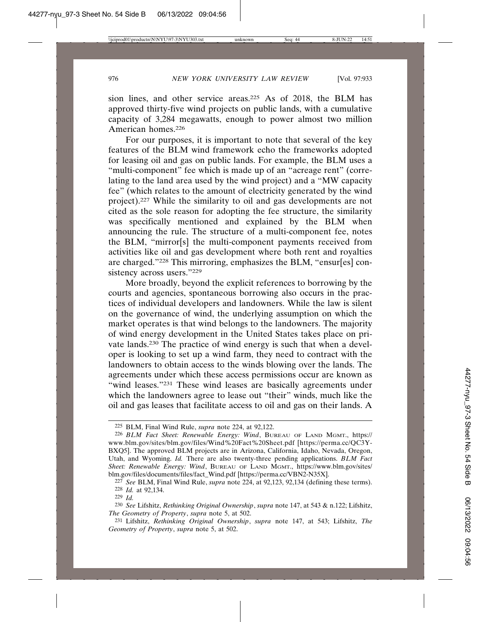sion lines, and other service areas.<sup>225</sup> As of 2018, the BLM has approved thirty-five wind projects on public lands, with a cumulative capacity of 3,284 megawatts, enough to power almost two million American homes.226

For our purposes, it is important to note that several of the key features of the BLM wind framework echo the frameworks adopted for leasing oil and gas on public lands. For example, the BLM uses a "multi-component" fee which is made up of an "acreage rent" (correlating to the land area used by the wind project) and a "MW capacity fee" (which relates to the amount of electricity generated by the wind project).227 While the similarity to oil and gas developments are not cited as the sole reason for adopting the fee structure, the similarity was specifically mentioned and explained by the BLM when announcing the rule. The structure of a multi-component fee, notes the BLM, "mirror[s] the multi-component payments received from activities like oil and gas development where both rent and royalties are charged."228 This mirroring, emphasizes the BLM, "ensur[es] consistency across users."229

More broadly, beyond the explicit references to borrowing by the courts and agencies, spontaneous borrowing also occurs in the practices of individual developers and landowners. While the law is silent on the governance of wind, the underlying assumption on which the market operates is that wind belongs to the landowners. The majority of wind energy development in the United States takes place on private lands.230 The practice of wind energy is such that when a developer is looking to set up a wind farm, they need to contract with the landowners to obtain access to the winds blowing over the lands. The agreements under which these access permissions occur are known as "wind leases."<sup>231</sup> These wind leases are basically agreements under which the landowners agree to lease out "their" winds, much like the oil and gas leases that facilitate access to oil and gas on their lands. A

<sup>225</sup> BLM, Final Wind Rule, *supra* note 224, at 92,122.

<sup>226</sup> *BLM Fact Sheet: Renewable Energy: Wind*, BUREAU OF LAND MGMT., https:// www.blm.gov/sites/blm.gov/files/Wind%20Fact%20Sheet.pdf [https://perma.cc/QC3Y-BXQ5]. The approved BLM projects are in Arizona, California, Idaho, Nevada, Oregon, Utah, and Wyoming. *Id.* There are also twenty-three pending applications. *BLM Fact Sheet: Renewable Energy: Wind*, BUREAU OF LAND MGMT., https://www.blm.gov/sites/ blm.gov/files/documents/files/fact\_Wind.pdf [https://perma.cc/VBN2-N35X].

<sup>227</sup> *See* BLM, Final Wind Rule, *supra* note 224, at 92,123, 92,134 (defining these terms). 228 *Id.* at 92,134.

<sup>229</sup> *Id.*

<sup>230</sup> *See* Lifshitz, *Rethinking Original Ownership*, *supra* note 147, at 543 & n.122; Lifshitz, *The Geometry of Property*, *supra* note 5, at 502.

<sup>231</sup> Lifshitz, *Rethinking Original Ownership*, *supra* note 147, at 543; Lifshitz, *The Geometry of Property*, *supra* note 5, at 502.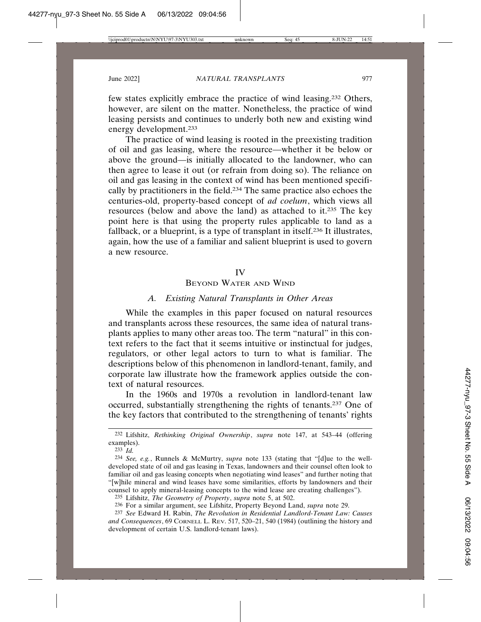few states explicitly embrace the practice of wind leasing.232 Others, however, are silent on the matter. Nonetheless, the practice of wind leasing persists and continues to underly both new and existing wind energy development.233

The practice of wind leasing is rooted in the preexisting tradition of oil and gas leasing, where the resource—whether it be below or above the ground—is initially allocated to the landowner, who can then agree to lease it out (or refrain from doing so). The reliance on oil and gas leasing in the context of wind has been mentioned specifically by practitioners in the field.234 The same practice also echoes the centuries-old, property-based concept of *ad coelum*, which views all resources (below and above the land) as attached to it.235 The key point here is that using the property rules applicable to land as a fallback, or a blueprint, is a type of transplant in itself.236 It illustrates, again, how the use of a familiar and salient blueprint is used to govern a new resource.

#### IV

#### BEYOND WATER AND WIND

#### *A. Existing Natural Transplants in Other Areas*

While the examples in this paper focused on natural resources and transplants across these resources, the same idea of natural transplants applies to many other areas too. The term "natural" in this context refers to the fact that it seems intuitive or instinctual for judges, regulators, or other legal actors to turn to what is familiar. The descriptions below of this phenomenon in landlord-tenant, family, and corporate law illustrate how the framework applies outside the context of natural resources.

In the 1960s and 1970s a revolution in landlord-tenant law occurred, substantially strengthening the rights of tenants.237 One of the key factors that contributed to the strengthening of tenants' rights

232 Lifshitz, *Rethinking Original Ownership*, *supra* note 147, at 543–44 (offering examples).

235 Lifshitz, *The Geometry of Property*, *supra* note 5, at 502.

<sup>233</sup> *Id.*

<sup>234</sup> *See, e.g.*, Runnels & McMurtry, *supra* note 133 (stating that "[d]ue to the welldeveloped state of oil and gas leasing in Texas, landowners and their counsel often look to familiar oil and gas leasing concepts when negotiating wind leases" and further noting that "[w]hile mineral and wind leases have some similarities, efforts by landowners and their counsel to apply mineral-leasing concepts to the wind lease are creating challenges").

<sup>236</sup> For a similar argument, see Lifshitz, Property Beyond Land, *supra* note 29.

<sup>237</sup> *See* Edward H. Rabin, *The Revolution in Residential Landlord-Tenant Law: Causes and Consequences*, 69 CORNELL L. REV. 517, 520–21, 540 (1984) (outlining the history and development of certain U.S. landlord-tenant laws).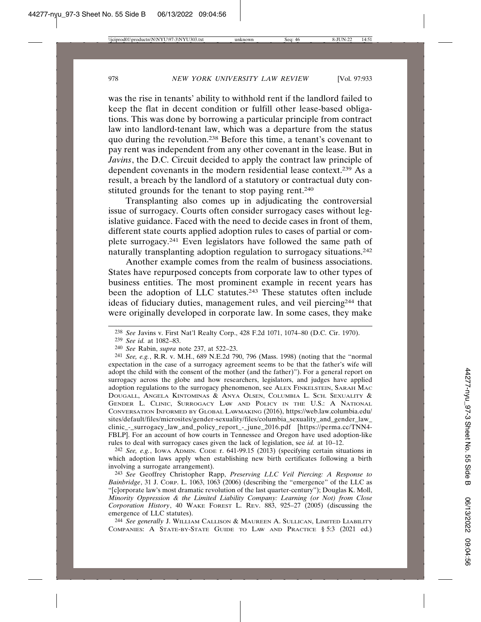was the rise in tenants' ability to withhold rent if the landlord failed to keep the flat in decent condition or fulfill other lease-based obligations. This was done by borrowing a particular principle from contract law into landlord-tenant law, which was a departure from the status quo during the revolution.238 Before this time, a tenant's covenant to pay rent was independent from any other covenant in the lease. But in *Javins*, the D.C. Circuit decided to apply the contract law principle of dependent covenants in the modern residential lease context.239 As a result, a breach by the landlord of a statutory or contractual duty constituted grounds for the tenant to stop paying rent.<sup>240</sup>

Transplanting also comes up in adjudicating the controversial issue of surrogacy. Courts often consider surrogacy cases without legislative guidance. Faced with the need to decide cases in front of them, different state courts applied adoption rules to cases of partial or complete surrogacy.241 Even legislators have followed the same path of naturally transplanting adoption regulation to surrogacy situations.242

Another example comes from the realm of business associations. States have repurposed concepts from corporate law to other types of business entities. The most prominent example in recent years has been the adoption of LLC statutes.<sup>243</sup> These statutes often include ideas of fiduciary duties, management rules, and veil piercing244 that were originally developed in corporate law. In some cases, they make

242 *See, e.g.*, IOWA ADMIN. CODE r. 641-99.15 (2013) (specifying certain situations in which adoption laws apply when establishing new birth certificates following a birth involving a surrogate arrangement).

243 *See* Geoffrey Christopher Rapp, *Preserving LLC Veil Piercing: A Response to Bainbridge*, 31 J. CORP. L. 1063, 1063 (2006) (describing the "emergence" of the LLC as "[c]orporate law's most dramatic revolution of the last quarter-century"); Douglas K. Moll, *Minority Oppression & the Limited Liability Company: Learning (or Not) from Close Corporation History*, 40 WAKE FOREST L. REV. 883, 925–27 (2005) (discussing the emergence of LLC statutes).

244 *See generally* J. WILLIAM CALLISON & MAUREEN A. SULLICAN, LIMITED LIABILITY COMPANIES: A STATE-BY-STATE GUIDE TO LAW AND PRACTICE § 5:3 (2021 ed.)

<sup>238</sup> *See* Javins v. First Nat'l Realty Corp., 428 F.2d 1071, 1074–80 (D.C. Cir. 1970).

<sup>239</sup> *See id.* at 1082–83.

<sup>240</sup> *See* Rabin, *supra* note 237, at 522–23.

<sup>241</sup> *See, e.g.*, R.R. v. M.H., 689 N.E.2d 790, 796 (Mass. 1998) (noting that the "normal expectation in the case of a surrogacy agreement seems to be that the father's wife will adopt the child with the consent of the mother (and the father)"). For a general report on surrogacy across the globe and how researchers, legislators, and judges have applied adoption regulations to the surrogacy phenomenon, see ALEX FINKELSTEIN, SARAH MAC DOUGALL, ANGELA KINTOMINAS & ANYA OLSEN, COLUMBIA L. SCH. SEXUALITY & GENDER L. CLINIC, SURROGACY LAW AND POLICY IN THE U.S.: A NATIONAL CONVERSATION INFORMED BY GLOBAL LAWMAKING (2016), https://web.law.columbia.edu/ sites/default/files/microsites/gender-sexuality/files/columbia\_sexuality\_and\_gender\_law\_ clinic\_-\_surrogacy\_law\_and\_policy\_report\_-\_june\_2016.pdf [https://perma.cc/TNN4- FBLP]. For an account of how courts in Tennessee and Oregon have used adoption-like rules to deal with surrogacy cases given the lack of legislation, see *id.* at 10–12.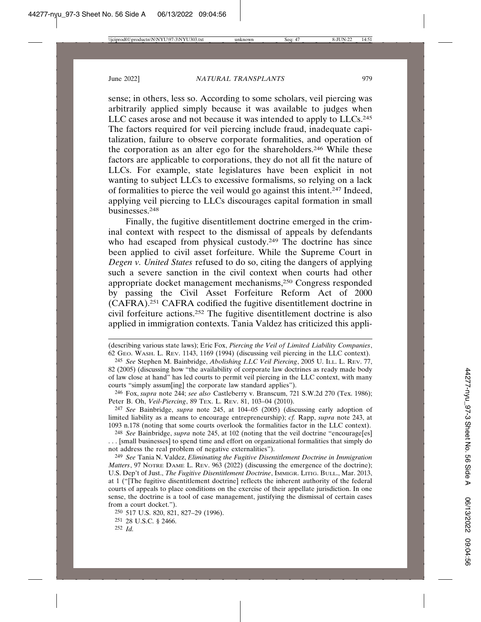sense; in others, less so. According to some scholars, veil piercing was arbitrarily applied simply because it was available to judges when LLC cases arose and not because it was intended to apply to LLCs.<sup>245</sup> The factors required for veil piercing include fraud, inadequate capitalization, failure to observe corporate formalities, and operation of the corporation as an alter ego for the shareholders.246 While these factors are applicable to corporations, they do not all fit the nature of LLCs. For example, state legislatures have been explicit in not wanting to subject LLCs to excessive formalisms, so relying on a lack of formalities to pierce the veil would go against this intent.247 Indeed, applying veil piercing to LLCs discourages capital formation in small businesses.248

Finally, the fugitive disentitlement doctrine emerged in the criminal context with respect to the dismissal of appeals by defendants who had escaped from physical custody.<sup>249</sup> The doctrine has since been applied to civil asset forfeiture. While the Supreme Court in *Degen v. United States* refused to do so, citing the dangers of applying such a severe sanction in the civil context when courts had other appropriate docket management mechanisms,250 Congress responded by passing the Civil Asset Forfeiture Reform Act of 2000 (CAFRA).251 CAFRA codified the fugitive disentitlement doctrine in civil forfeiture actions.252 The fugitive disentitlement doctrine is also applied in immigration contexts. Tania Valdez has criticized this appli-

246 Fox, *supra* note 244; *see also* Castleberry v. Branscum, 721 S.W.2d 270 (Tex. 1986); Peter B. Oh, *Veil-Piercing*, 89 TEX. L. REV. 81, 103–04 (2010).

247 *See* Bainbridge, *supra* note 245, at 104–05 (2005) (discussing early adoption of limited liability as a means to encourage entrepreneurship); *cf.* Rapp, *supra* note 243, at 1093 n.178 (noting that some courts overlook the formalities factor in the LLC context).

248 *See* Bainbridge, *supra* note 245, at 102 (noting that the veil doctrine "encourage[es] . . . [small businesses] to spend time and effort on organizational formalities that simply do not address the real problem of negative externalities").

249 *See* Tania N. Valdez, *Eliminating the Fugitive Disentitlement Doctrine in Immigration Matters*, 97 NOTRE DAME L. REV. 963 (2022) (discussing the emergence of the doctrine); U.S. Dep't of Just., *The Fugitive Disentitlement Doctrine*, IMMIGR. LITIG. BULL., Mar. 2013, at 1 ("[The fugitive disentitlement doctrine] reflects the inherent authority of the federal courts of appeals to place conditions on the exercise of their appellate jurisdiction. In one sense, the doctrine is a tool of case management, justifying the dismissal of certain cases from a court docket.").

<sup>(</sup>describing various state laws); Eric Fox, *Piercing the Veil of Limited Liability Companies*, 62 GEO. WASH. L. REV. 1143, 1169 (1994) (discussing veil piercing in the LLC context).

<sup>245</sup> *See* Stephen M. Bainbridge, *Abolishing LLC Veil Piercing*, 2005 U. ILL. L. REV. 77, 82 (2005) (discussing how "the availability of corporate law doctrines as ready made body of law close at hand" has led courts to permit veil piercing in the LLC context, with many courts "simply assum[ing] the corporate law standard applies").

<sup>250</sup> 517 U.S. 820, 821, 827–29 (1996). 251 28 U.S.C. § 2466.

<sup>252</sup> *Id.*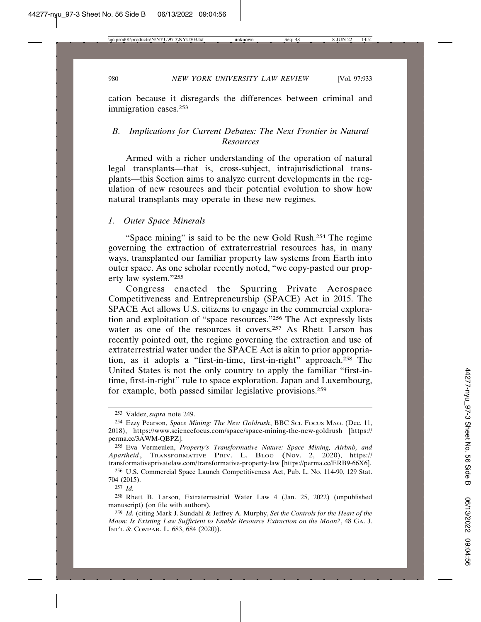cation because it disregards the differences between criminal and immigration cases.253

# *B. Implications for Current Debates: The Next Frontier in Natural Resources*

Armed with a richer understanding of the operation of natural legal transplants—that is, cross-subject, intrajurisdictional transplants—this Section aims to analyze current developments in the regulation of new resources and their potential evolution to show how natural transplants may operate in these new regimes.

## *1. Outer Space Minerals*

"Space mining" is said to be the new Gold Rush.254 The regime governing the extraction of extraterrestrial resources has, in many ways, transplanted our familiar property law systems from Earth into outer space. As one scholar recently noted, "we copy-pasted our property law system."255

Congress enacted the Spurring Private Aerospace Competitiveness and Entrepreneurship (SPACE) Act in 2015. The SPACE Act allows U.S. citizens to engage in the commercial exploration and exploitation of "space resources."256 The Act expressly lists water as one of the resources it covers.<sup>257</sup> As Rhett Larson has recently pointed out, the regime governing the extraction and use of extraterrestrial water under the SPACE Act is akin to prior appropriation, as it adopts a "first-in-time, first-in-right" approach.258 The United States is not the only country to apply the familiar "first-intime, first-in-right" rule to space exploration. Japan and Luxembourg, for example, both passed similar legislative provisions.259

<sup>253</sup> Valdez, *supra* note 249.

<sup>254</sup> Ezzy Pearson, *Space Mining: The New Goldrush*, BBC SCI. FOCUS MAG. (Dec. 11, 2018), https://www.sciencefocus.com/space/space-mining-the-new-goldrush [https:// perma.cc/3AWM-QBPZ].

<sup>255</sup> Eva Vermeulen, *Property's Transformative Nature: Space Mining, Airbnb, and Apartheid*, TRANSFORMATIVE PRIV. L. BLOG (Nov. 2, 2020), https:// transformativeprivatelaw.com/transformative-property-law [https://perma.cc/ERB9-66X6].

<sup>256</sup> U.S. Commercial Space Launch Competitiveness Act, Pub. L. No. 114-90, 129 Stat. 704 (2015).

<sup>257</sup> *Id.*

<sup>258</sup> Rhett B. Larson, Extraterrestrial Water Law 4 (Jan. 25, 2022) (unpublished manuscript) (on file with authors).

<sup>259</sup> *Id.* (citing Mark J. Sundahl & Jeffrey A. Murphy, *Set the Controls for the Heart of the Moon: Is Existing Law Sufficient to Enable Resource Extraction on the Moon?*, 48 GA. J. INT'L & COMPAR. L. 683, 684 (2020)).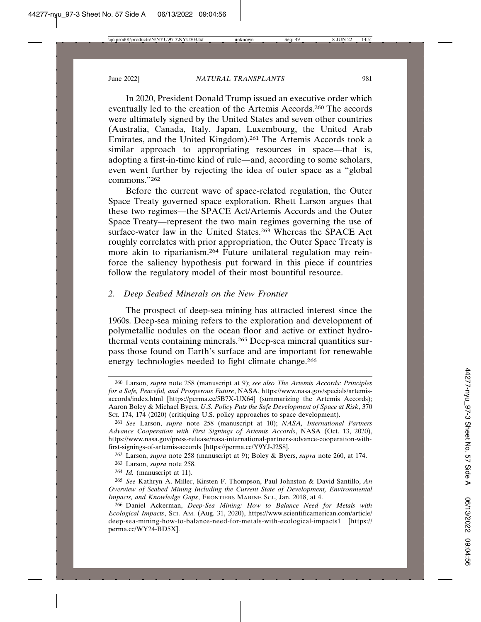In 2020, President Donald Trump issued an executive order which eventually led to the creation of the Artemis Accords.260 The accords were ultimately signed by the United States and seven other countries (Australia, Canada, Italy, Japan, Luxembourg, the United Arab Emirates, and the United Kingdom).261 The Artemis Accords took a similar approach to appropriating resources in space—that is, adopting a first-in-time kind of rule—and, according to some scholars, even went further by rejecting the idea of outer space as a "global commons."262

Before the current wave of space-related regulation, the Outer Space Treaty governed space exploration. Rhett Larson argues that these two regimes—the SPACE Act/Artemis Accords and the Outer Space Treaty—represent the two main regimes governing the use of surface-water law in the United States.<sup>263</sup> Whereas the SPACE Act roughly correlates with prior appropriation, the Outer Space Treaty is more akin to riparianism.264 Future unilateral regulation may reinforce the saliency hypothesis put forward in this piece if countries follow the regulatory model of their most bountiful resource.

## *2. Deep Seabed Minerals on the New Frontier*

The prospect of deep-sea mining has attracted interest since the 1960s. Deep-sea mining refers to the exploration and development of polymetallic nodules on the ocean floor and active or extinct hydrothermal vents containing minerals.265 Deep-sea mineral quantities surpass those found on Earth's surface and are important for renewable energy technologies needed to fight climate change.266

<sup>260</sup> Larson, *supra* note 258 (manuscript at 9); *see also The Artemis Accords: Principles for a Safe, Peaceful, and Prosperous Future*, NASA, https://www.nasa.gov/specials/artemisaccords/index.html [https://perma.cc/5B7X-UX64] (summarizing the Artemis Accords); Aaron Boley & Michael Byers, *U.S. Policy Puts the Safe Development of Space at Risk*, 370 Sci. 174, 174 (2020) (critiquing U.S. policy approaches to space development).

<sup>261</sup> *See* Larson, *supra* note 258 (manuscript at 10); *NASA, International Partners Advance Cooperation with First Signings of Artemis Accords*, NASA (Oct. 13, 2020), https://www.nasa.gov/press-release/nasa-international-partners-advance-cooperation-withfirst-signings-of-artemis-accords [https://perma.cc/Y9YJ-J2S8].

<sup>262</sup> Larson, *supra* note 258 (manuscript at 9); Boley & Byers, *supra* note 260, at 174.

<sup>263</sup> Larson, *supra* note 258.

<sup>264</sup> *Id.* (manuscript at 11).

<sup>265</sup> *See* Kathryn A. Miller, Kirsten F. Thompson, Paul Johnston & David Santillo, *An Overview of Seabed Mining Including the Current State of Development, Environmental Impacts, and Knowledge Gaps*, FRONTIERS MARINE SCI., Jan. 2018, at 4.

<sup>266</sup> Daniel Ackerman, *Deep-Sea Mining: How to Balance Need for Metals with Ecological Impacts*, SCI. AM. (Aug. 31, 2020), https://www.scientificamerican.com/article/ deep-sea-mining-how-to-balance-need-for-metals-with-ecological-impacts1 [https:// perma.cc/WY24-BD5X].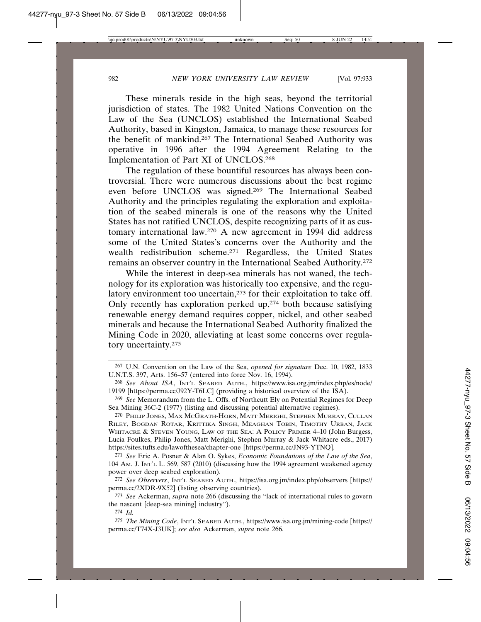These minerals reside in the high seas, beyond the territorial jurisdiction of states. The 1982 United Nations Convention on the Law of the Sea (UNCLOS) established the International Seabed Authority, based in Kingston, Jamaica, to manage these resources for the benefit of mankind.267 The International Seabed Authority was operative in 1996 after the 1994 Agreement Relating to the Implementation of Part XI of UNCLOS.268

The regulation of these bountiful resources has always been controversial. There were numerous discussions about the best regime even before UNCLOS was signed.269 The International Seabed Authority and the principles regulating the exploration and exploitation of the seabed minerals is one of the reasons why the United States has not ratified UNCLOS, despite recognizing parts of it as customary international law.270 A new agreement in 1994 did address some of the United States's concerns over the Authority and the wealth redistribution scheme.271 Regardless, the United States remains an observer country in the International Seabed Authority.272

While the interest in deep-sea minerals has not waned, the technology for its exploration was historically too expensive, and the regulatory environment too uncertain,<sup>273</sup> for their exploitation to take off. Only recently has exploration perked up,274 both because satisfying renewable energy demand requires copper, nickel, and other seabed minerals and because the International Seabed Authority finalized the Mining Code in 2020, alleviating at least some concerns over regulatory uncertainty.275

<sup>267</sup> U.N. Convention on the Law of the Sea, *opened for signature* Dec. 10, 1982, 1833 U.N.T.S. 397, Arts. 156–57 (entered into force Nov. 16, 1994).

<sup>268</sup> *See About ISA*, INT'L SEABED AUTH., https://www.isa.org.jm/index.php/es/node/ 19199 [https://perma.cc/J92Y-T6LC] (providing a historical overview of the ISA).

<sup>269</sup> *See* Memorandum from the L. Offs. of Northcutt Ely on Potential Regimes for Deep Sea Mining 36C-2 (1977) (listing and discussing potential alternative regimes).

<sup>270</sup> PHILIP JONES, MAX MCGRATH-HORN, MATT MERIGHI, STEPHEN MURRAY, CULLAN RILEY, BOGDAN ROTAR, KRITTIKA SINGH, MEAGHAN TOBIN, TIMOTHY URBAN, JACK WHITACRE & STEVEN YOUNG, LAW OF THE SEA: A POLICY PRIMER 4–10 (John Burgess, Lucia Foulkes, Philip Jones, Matt Merighi, Stephen Murray & Jack Whitacre eds., 2017) https://sites.tufts.edu/lawofthesea/chapter-one [https://perma.cc/JN93-YTNQ].

<sup>271</sup> *See* Eric A. Posner & Alan O. Sykes, *Economic Foundations of the Law of the Sea*, 104 AM. J. INT'L L. 569, 587 (2010) (discussing how the 1994 agreement weakened agency power over deep seabed exploration).

<sup>272</sup> *See Observers*, INT'L SEABED AUTH., https://isa.org.jm/index.php/observers [https:// perma.cc/2XDR-9X52] (listing observing countries).

<sup>273</sup> *See* Ackerman, *supra* note 266 (discussing the "lack of international rules to govern the nascent [deep-sea mining] industry").

<sup>274</sup> *Id.*

<sup>275</sup> *The Mining Code*, INT'L SEABED AUTH., https://www.isa.org.jm/mining-code [https:// perma.cc/T74X-J3UK]; *see also* Ackerman, *supra* note 266.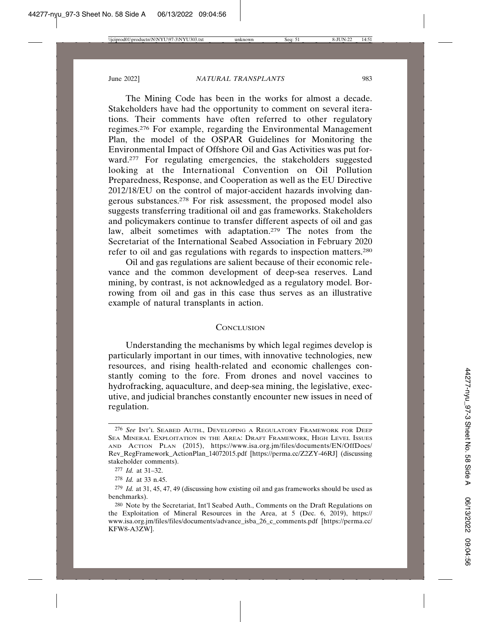The Mining Code has been in the works for almost a decade. Stakeholders have had the opportunity to comment on several iterations. Their comments have often referred to other regulatory regimes.276 For example, regarding the Environmental Management Plan, the model of the OSPAR Guidelines for Monitoring the Environmental Impact of Offshore Oil and Gas Activities was put forward.<sup>277</sup> For regulating emergencies, the stakeholders suggested looking at the International Convention on Oil Pollution Preparedness, Response, and Cooperation as well as the EU Directive 2012/18/EU on the control of major-accident hazards involving dangerous substances.278 For risk assessment, the proposed model also suggests transferring traditional oil and gas frameworks. Stakeholders and policymakers continue to transfer different aspects of oil and gas law, albeit sometimes with adaptation.279 The notes from the Secretariat of the International Seabed Association in February 2020 refer to oil and gas regulations with regards to inspection matters.280

Oil and gas regulations are salient because of their economic relevance and the common development of deep-sea reserves. Land mining, by contrast, is not acknowledged as a regulatory model. Borrowing from oil and gas in this case thus serves as an illustrative example of natural transplants in action.

#### **CONCLUSION**

Understanding the mechanisms by which legal regimes develop is particularly important in our times, with innovative technologies, new resources, and rising health-related and economic challenges constantly coming to the fore. From drones and novel vaccines to hydrofracking, aquaculture, and deep-sea mining, the legislative, executive, and judicial branches constantly encounter new issues in need of regulation.

<sup>276</sup> *See* INT'L SEABED AUTH., DEVELOPING A REGULATORY FRAMEWORK FOR DEEP SEA MINERAL EXPLOITATION IN THE AREA: DRAFT FRAMEWORK, HIGH LEVEL ISSUES AND ACTION PLAN (2015), https://www.isa.org.jm/files/documents/EN/OffDocs/ Rev\_RegFramework\_ActionPlan\_14072015.pdf [https://perma.cc/Z2ZY-46RJ] (discussing stakeholder comments).

<sup>277</sup> *Id.* at 31–32.

<sup>278</sup> *Id.* at 33 n.45.

<sup>279</sup> *Id.* at 31, 45, 47, 49 (discussing how existing oil and gas frameworks should be used as benchmarks).

<sup>280</sup> Note by the Secretariat, Int'l Seabed Auth., Comments on the Draft Regulations on the Exploitation of Mineral Resources in the Area, at 5 (Dec. 6, 2019), https:// www.isa.org.jm/files/files/documents/advance\_isba\_26\_c\_comments.pdf [https://perma.cc/ KFW8-A3ZW].